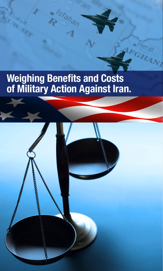## **Weighing Benefits and Costs of Military Action Against Iran.**

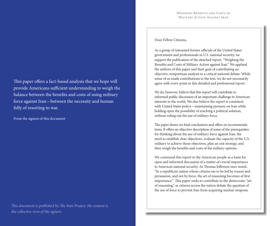Dear Fellow Citizens,

As a group of interested former officials of the United States government and professionals in U.S. national security, we support the publication of the attached report, "Weighing the Benefits and Costs of Military Action against Iran." We applaud the authors of this paper and their goal of contributing an objective, nonpartisan analysis to a critical national debate. While some of us made contributions to the text, we do not necessarily agree with every point in this detailed and professional report.

We do, however, believe that this report will contribute to informed public discussion of an important challenge to American interests in the world. We also believe the report is consistent with United States policy—maintaining pressure on Iran while holding open the possibility of reaching a political solution, without ruling out the use of military force.

The paper draws no final conclusions and offers no recommendations. It offers an objective description of some of the prerequisites for thinking about the use of military force against Iran: the need to establish clear objectives, evaluate the capacity of the U.S. military to achieve those objectives, plan an exit strategy, and then weigh the benefits and costs of the military options.

We commend this report to the American people as a basis for open and informed discussion of a matter of crucial importance to America's national security. As Thomas Jefferson once noted, "In a republican nation whose citizens are to be led by reason and persuasion, and not by force, the art of reasoning becomes of first importance." This paper seeks to contribute to the democratic "art of reasoning," as citizens across the nation debate the question of the use of force to prevent Iran from acquiring nuclear weapons.

This paper offers a fact-based analysis that we hope will provide Americans sufficient understanding to weigh the balance between the benefits and costs of using military force against Iran—between the necessity and human folly of resorting to war.

From the signers of this document

*This document is published by The Iran Project; the content is the collective view of the signers.*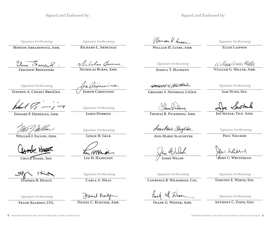Signed and Endorsed by:

*Signature Forthcoming*

**Morton Abramowitz, Amb.** 

**Zbigniew Brzezinski**

Uni Surel

*Signature Forthcoming*

**Richard L. Armitage** 

Victorias Burne

**Nicholas Burns, Amb.**

**Joseph Cirincione** 

*Signature Forthcoming*

**Stephen A. Cheney BrigGen.** 

**Edward P. Djerejian, Amb.** 

**William J. Fallon, Adm.**

**Chuck Hagel, Sen.** 

**Stephen B. Heintz** 

*Signature Forthcoming*

**Frank Kearney, LTG.**

Norwom H. Lucce

**William H. Luers, Amb.**

*Signature Forthcoming*

**Jessica T. Mathews**

GRESORY'S HEWBOLD

**Gregory S. Newbold, LtGen. Sam Nunn, Sen.**

**Thomas R. Pickering, Amb.** 

Anne Mail Staughter

**Ann-Marie Slaughter**

Jim Walsh **James Walsh**

*Signature Forthcoming*

**Lawrence B. Wilkerson, Col.**

Frank St. Wesier

**Frank G. Wisner, Amb.**

*Signature Forthcoming*

**Ellen Laipson**

William Green Miller

W**illiam G. Miller, Amb.**

*Signature Forthcoming*

**JOE SESTAK, VICE. ADM.** 

*Signature Forthcoming*

**Paul Volcker**

Johne haitched

**John C. Whitehead**

*Signature Forthcoming*

**Timothy E. Wirth, Sen.**

*Signature Forthcoming*

**Anthony C. Zinni, Gen.**

*Signature Forthcoming*

**Lee H. Hamilton**

*Signature Forthcoming*

**Carla A. Hills** 

Daniel Kintz

*JAMES DOBBINS* 

*Signature Forthcoming*

**Leslie H. Gelb**

**Daniel C. Kurtzer, Amb.**

regimence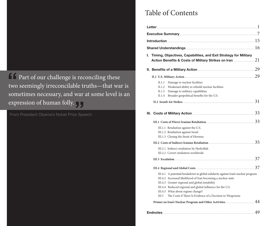**Part of our challenge is reconciling these** two seemingly irreconcilable truths—that war is sometimes necessary, and war at some level is an expression of human folly.<br>From President Obama's Nobel Prize Spe "

From President Obama's Nobel Prize Speech

## Table of Contents

| I. Timing, Objectives, Capabilities, and Exit Strategy for Military                                                                                                                                                                                                                                                                                                            |    |
|--------------------------------------------------------------------------------------------------------------------------------------------------------------------------------------------------------------------------------------------------------------------------------------------------------------------------------------------------------------------------------|----|
|                                                                                                                                                                                                                                                                                                                                                                                |    |
| II. Benefits of a Military Action <b>Manual Action</b> 29                                                                                                                                                                                                                                                                                                                      |    |
| II.1 U.S. Military Action 29                                                                                                                                                                                                                                                                                                                                                   |    |
| Damage to nuclear facilities<br>II.1.1<br>Weakened ability to rebuild nuclear facilities<br>II.1.2<br>Damage to military capabilities<br>II.1.3<br>Broader geopolitical benefits for the U.S.<br>II.1.4                                                                                                                                                                        |    |
|                                                                                                                                                                                                                                                                                                                                                                                | 31 |
| Costs of Military Action <b>Military Action</b><br>Ш.                                                                                                                                                                                                                                                                                                                          |    |
|                                                                                                                                                                                                                                                                                                                                                                                | 33 |
| III.1.1 Retaliation against the U.S.<br>III.1.2 Retaliation against Israel<br>III.1.3 Closing the Strait of Hormuz                                                                                                                                                                                                                                                             |    |
|                                                                                                                                                                                                                                                                                                                                                                                | 35 |
| III.2.1 Indirect retaliation by Hezbollah<br>III.2.2 Covert retaliation worldwide                                                                                                                                                                                                                                                                                              |    |
|                                                                                                                                                                                                                                                                                                                                                                                | 37 |
|                                                                                                                                                                                                                                                                                                                                                                                | 37 |
| III.4.1 A potential breakdown in global solidarity against Iran's nuclear program<br>III.4.2 Increased likelihood of Iran becoming a nuclear state<br>III.4.3 Greater regional and global instability<br>III.4.4 Reduced regional and global influence for the U.S.<br>III.4.5 What about regime change?<br>The Costs if There Is Evidence of a Decision to Weaponize<br>III.5 |    |
|                                                                                                                                                                                                                                                                                                                                                                                |    |
| Endnotes.                                                                                                                                                                                                                                                                                                                                                                      | 49 |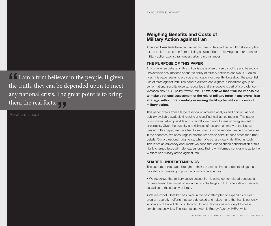I I am a firm believer in the people. If given the truth, they can be depended upon to meet any national crisis. The great point is to bring them the real facts.<br>Abraham Lincoln "

Abraham Lincoln

## **Weighing Benefits and Costs of Military Action against Iran**

American Presidents have proclaimed for over a decade they would "take no option off the table" to stop Iran from building a nuclear bomb—leaving the door open for military action against Iran under certain circumstances.

## **THE PURPOSE OF THIS PAPER**

At a time when debate on this critical issue is often driven by politics and based on unexamined assumptions about the ability of military action to achieve U.S. objectives, this paper seeks to provide a foundation for clear thinking about the potential use of force against Iran. The paper's authors and signers, a bipartisan group of senior national security experts, recognize that this debate is part of a broader conversation about U.S. policy toward Iran. But **we believe that it will be impossible to make a rational assessment of the role of military force in any overall Iran strategy, without first carefully assessing the likely benefits and costs of military action.**

This paper draws from a large reservoir of informed analysis and opinion, all of it publicly available available (including unclassified intelligence reports). The paper is fact-based when possible and straightforward about areas of disagreement or uncertainty. Given the quantity and richness of research on many of the issues treated in this paper, we have had to summarize some important expert discussions in the endnotes; we encourage interested readers to consult those notes for further details. Our professional judgments, when offered, are clearly identified as such. This is not an advocacy document; we hope that our balanced consideration of this highly charged issue will help readers draw their own informed conclusions as to the wisdom of a military action against Iran.

## **SHARED UNDERSTANDINGS**

The authors of this paper brought to their task some shared understandings that provided our diverse group with a common perspective.

• We recognize that military action against Iran is being contemplated because a nuclear-armed Iran would pose dangerous challenges to U.S. interests and security, as well as to the security of Israel.

• We are mindful that Iran has twice in the past attempted to expand its nuclear program secretly—efforts that were detected and halted—and that Iran is currently in violation of United Nations Security Council Resolutions requiring it to cease enrichment activities. The International Atomic Energy Agency (IAEA), which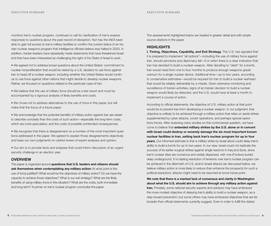monitors Iran's nuclear program, continues to call for clarification of Iran's evasive responses to questions about the past record of deception. Nor has the IAEA been able to gain full access to Iran's military facilities to confirm the current status of an Iranian nuclear weapons program that intelligence officials believe was halted in 2003. In addition, Iranian leaders have repeatedly made statements that have threatened Israel and that have been interpreted as challenging the right of the State of Israel to exist.

• We agreed not to address broad questions about the United States' commitment to nuclear nonproliferation that would be raised by a U.S. decision to use force against Iran to head off a nuclear weapon, including whether the United States would continue to use force against other nations that might decide to develop nuclear weapons. Rather, we focused on questions related to the particular case of Iran.

• We believe that the use of military force should be a last resort and must be accompanied by a rigorous analysis of likely benefits and costs.

• We chose not to address alternatives to the use of force in this paper, but will make that the focus of a future paper.

• We acknowledge that the potential benefits of military action against Iran are easier to describe concisely than the costs of such action—especially the long-term costs, which are more speculative, and the costs of possible unintended consequences.

• We recognize that there is disagreement on a number of the most important questions addressed in the paper. We agreed to explain those disagreements objectively and base our own judgments on careful review of expert analyses and opinion.

• Our aim is to provide facts and analyses that could inform discussion of an urgent security challenge in an election year.

## **OVERVIEW**

The paper is organized around **questions that U.S. leaders and citizens should ask themselves when contemplating any military action:** At what point is the use of force justified? What would be the objectives of military action? Do we have the capacity to achieve those objectives? What is our exit strategy? What are the likely benefits of using military force in this situation? What are the costs, both immediate and long-term? A primer on Iran's nuclear program concludes the paper.

The assessments highlighted below are treated in greater detail and with ample source citations in the paper.

## **HIGHLIGHTS**

**I. Timing, Objectives, Capability, and Exit Strategy.** The U.S. has signaled that it is prepared to implement "all options"—including the use of military force against Iran, should sanctions and diplomacy fail—if or when there is a clear indication that Iran has decided to build a nuclear weapon. After deciding to "dash" for a bomb, Iran would need from one to four months to produce enough weapons-grade uranium for a single nuclear device. Additional time—up to two years, according to conservative estimates—would be required for Iran to build a nuclear warhead that would be reliably deliverable by a missile. Given extensive monitoring and surveillance of Iranian activities, signs of an Iranian decision to build a nuclear weapon would likely be detected, and the U.S. would have at least a month to implement a course of action.

According to official statements, the objective of U.S. military action at that point would be to prevent Iran from developing a nuclear weapon. In our judgment, that objective is unlikely to be achieved through a military action that relies on aerial strikes supplemented by cyber attacks, covert operations, and perhaps special operations forces. After reviewing many studies on this controversial question, we have come to believe that **extended military strikes by the U.S. alone or in concert with Israel could destroy or severely damage the six most important known nuclear facilities in Iran, setting back Iran's nuclear program for up to four years.** Our informed estimate is that a military strike by Israel alone could delay Iran's ability to build a bomb for up to two years. In our view, Israel could not replicate the success of its earlier surgical strikes against single reactors in Iraq and Syria, since Iran's nuclear sites are numerous and widely dispersed, with one (Fordow) buried deep underground. If no lasting resolution of tensions over Iran's nuclear program can be achieved in the aftermath of U.S. and/or Israeli attacks (as discussed below, we believe military action is more likely to reduce than enhance the prospects for such a political resolution), attacks might need to be resumed at some future point.

**We note that there is a marked lack of consensus and clarity in Washington about what the U.S. should aim to achieve through any military action against Iran.** Privately, some national security experts and advisors may have embraced the more modest objective of delaying Iran's ability to build a nuclear weapon, as a step toward prevention; but some others may have embraced objectives that are far broader than official statements currently suggest. Even in order to fulfill the stated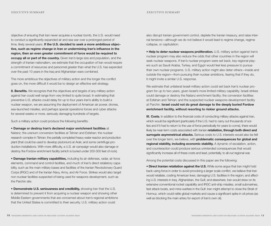objective of ensuring that Iran never acquires a nuclear bomb, the U.S. would need to conduct a significantly expanded air and sea war over a prolonged period of time, likely several years. **If the U.S. decided to seek a more ambitious objective, such as regime change in Iran or undermining Iran's influence in the region, then an even greater commitment of force would be required to occupy all or part of the country.** Given Iran's large size and population, and the strength of Iranian nationalism, we estimate that the occupation of Iran would require a commitment of resources and personnel greater than what the U.S. has expended over the past 10 years in the Iraq and Afghanistan wars combined.

The more ambitious the objectives of military action and the longer the conflict goes on, the more difficult it would be to design an effective exit strategy.

**II. Benefits.** We recognize that the objectives and targets of any military action against Iran could well range from very limited to quite broad. In estimating that preventive U.S. attacks could delay for up to four years Iran's ability to build a nuclear weapon, we are assuming the deployment of American air power, drones, sea-launched missiles, and perhaps special operations forces and cyber attacks for several weeks or more, seriously damaging hundreds of targets.

Such a military action could produce the following benefits:

• **Damage or destroy Iran's declared major enrichment facilities** at

Natanz; the uranium conversion facilities at Tehran and Esfahan; the nuclear research complex in Tehran; the partially completed heavy water reactor and production plant (that could be used to develop plutonium) at Arak; and some centrifuge production installations. With more difficulty, a U.S. air campaign would also damage or destroy the Fordow enrichment facility (which is buried under 200-300 feet of rock).

• **Damage Iranian military capabilities,** including its air defenses, radar, air force elements, command and control facilities, and much of Iran's direct retaliatory capability, such as the main military bases and facilities of the Iranian Revolutionary Guard Corps (IRGC) and of the Iranian Navy, Army, and Air Force. Strikes would also target non-nuclear facilities suspected of being used for weapons development, such as the Parchin site.

• **Demonstrate U.S. seriousness and credibility,** showing Iran that the U.S. is determined to prevent it from acquiring a nuclear weapon and showing other Middle Eastern governments that are concerned about Iran's regional ambitions that the United States is committed to their security. U.S. military action could

also disrupt Iranian government control, deplete the Iranian treasury, and raise internal tensions—although we do not believe it would lead to regime change, regime collapse, or capitulation.

• **Help to deter nuclear weapons proliferation.** U.S. military action against Iran's nuclear program may also reduce the odds that other countries in the region will seek nuclear weapons. If Iran's nuclear program were set back, key regional players such as Saudi Arabia, Turkey, and Egypt would feel less pressure to pursue their own nuclear programs. U.S. military action might also deter others—inside and outside the region—from pursuing their nuclear ambitions, fearing that if they do, it might invite a similar U.S. response.

We estimate that unilateral Israeli military action could set back Iran's nuclear program for up to two years, given Israel's more limited military capability. Israeli strikes could damage or destroy the Natanz enrichment facility; the conversion facilities at Esfahan and Tehran; and the suspected nuclear weapons-development facility at Parchin. **Israel could not do great damage to the deeply buried Fordow enrichment facility, without resorting to riskier ground attacks.**

**III. Costs.** In addition to the financial costs of conducting military attacks against Iran, which would be significant (particularly if the U.S. had to carry out thousands of sorties and if it had to return to the use of force periodically for years to come), there would likely be near-term costs associated with Iranian **retaliation, through both direct and surrogate asymmetrical attacks.** Serious costs to U.S. interests would also be felt over the longer term, we believe, with **problematic consequences for global and regional stability, including economic stability.** A dynamic of escalation, action, and counteraction could produce serious unintended consequences that would significantly increase all of these costs and lead, potentially, to all-out regional war.

Among the potential costs discussed in this paper are the following:

**• Direct Iranian retaliation against the U.S.** While some argue that Iran might hold back using force in order to avoid provoking a larger scale conflict, we believe that Iran would retaliate, costing American lives; damaging U.S. facilities in the region; and affecting U.S. interests in Iraq, Afghanistan, the Gulf, and elsewhere. Iran would draw on its extensive conventional rocket capability and IRGC anti-ship missiles, small submarines, fast attack boats, and mine warfare in the Gulf. Iran might attempt to close the Strait of Hormuz, which could rattle global markets and cause a significant spike in oil prices (as well as blocking the main artery for export of Iran's own oil).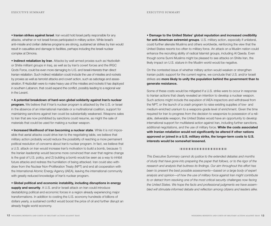• **Iranian strikes against Israel**. Iran would hold Israel partly responsible for any attacks, whether or not Israeli forces participated in military action. While Israel's anti-missile and civilian defense programs are strong, sustained air strikes by Iran would result in casualties and damage to facilities, perhaps including the Israeli nuclear complex at Dimona.

• **Indirect retaliation by Iran**. Attacks by well-armed proxies such as Hezbollah or Shiite militant groups in Iraq, as well as by Iran's covert forces and the IRGC Qods Force, could be even more damaging to U.S. and Israeli interests than direct Iranian retaliation. Such indirect retaliation could include the use of missiles and rockets by proxies as well as terrorist attacks and covert action, such as sabotage and assassination. If Hezbollah were to make heavy use of the missiles and rockets it has deployed in southern Lebanon, that could expand the conflict, possibly leading to a regional war in the Levant.

• **A potential breakdown of hard-won global solidarity against Iran's nuclear program.** We believe that if Iran's nuclear program is attacked by the U.S. or Israel in the absence of an international mandate or a multinational coalition, support for maintaining sanctions against Iran could be substantially weakened. Weapons sales to Iran that are now prohibited by sanctions could resume, as might the sale of materials that could be used for making a nuclear weapon.

• **Increased likelihood of Iran becoming a nuclear state**. While it is not impossible that aerial attacks could drive Iran to the negotiating table, we believe that military action probably would reduce the possibility of reaching a more permanent political resolution of concerns about Iran's nuclear program. In fact, we believe that a U.S. attack on Iran would increase Iran's motivation to build a bomb, because 1) the Iranian leadership would become more convinced than ever that regime change is the goal of U.S. policy, and 2) building a bomb would be seen as a way to inhibit future attacks and redress the humiliation of being attacked. Iran could also withdraw from the Nuclear Non-Proliferation Treaty (NPT) and end all cooperation with the International Atomic Energy Agency (IAEA), leaving the international community with greatly reduced knowledge of Iran's nuclear program.

• **Global political and economic instability, including disruptions in energy supply and security**. A U.S. and/or Israeli attack on Iran could introduce destabilizing political and economic forces in a region already experiencing major transformations. In addition to costing the U.S. economy hundreds of billions of dollars yearly, a sustained conflict would boost the price of oil and further disrupt an already fragile world economy.

• **Damage to the United States' global reputation and increased credibility for anti-American extremist groups**. U.S. military action, especially if unilateral, could further alienate Muslims and others worldwide, reinforcing the view that the United States resorts too often to military force. An attack on a Muslim nation could enhance the recruiting ability of radical Islamist groups, including Al Qaeda. Even though some Sunni Muslims might be pleased to see attacks on Shiite Iran, the likely impact on U.S. stature in the Muslim world would be negative.

On the contested issue of whether military action would weaken or strengthen Iranian public support for the current regime, we conclude that U.S. and/or Israeli strikes are **more likely to unify the population behind the government than to generate resistance.**

Some of these costs would be mitigated if a U.S. strike were to occur in response to Iranian actions that clearly revealed an intention to develop a nuclear weapon. Such actions might include the expulsion of IAEA inspectors and withdrawal from the NPT, or the launch of a crash program to raise existing supplies of low- and medium-enriched uranium to a weapons-grade level of enrichment. Given the time required for Iran to progress from the decision to weaponize to possession of a reliable, deliverable weapon, the United States would have an opportunity to develop international support for multilateral action against Iran, including further sanctions, additional negotiations, and the use of military force. **While the costs associated with Iranian retaliation would not significantly be altered if other nations approved or joined in a U.S. military strike, the longer-term costs to U.S. interests would be somewhat lessened.** 

## ❘ ❙ ❘ ❙ ❘ ❙ ❘ ❙ ❘ ❙ ❘ ❙ ❘ ❙ ❘ ❙ ❘ ❙ ❘ ❙ ❘ ❙ ❘ ❙ ❘ ❙ ❘ ❙ ❘ ❙ ❘ ❙ ❘ ❙ ❘

*This Executive Summary cannot do justice to the extended debates and months of study that have gone into preparing the paper that follows, or to the rigor of the research and analysis that buttress its findings. Our aim throughout this effort has been to present the best possible assessments—based on a large body of expert analysis and opinion—of how the use of military force against Iran might contribute*  to or detract from resolving one of the most critical security challenges now facing *the United States. We hope the facts and professional judgments we have assembled will stimulate informed debate and reflection among citizens and leaders alike.*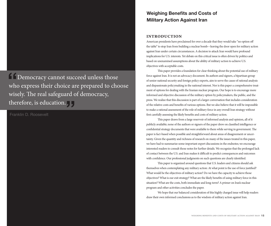

Franklin D. Roosevelt

## **Weighing Benefits and Costs of Military Action Against Iran**

## **introduction**

American presidents have proclaimed for over a decade that they would take "no option off the table" to stop Iran from building a nuclear bomb—leaving the door open for military action against Iran under certain circumstances. A decision to attack Iran would have profound implications for U.S. interests. Yet debate on this critical issue is often driven by politics and based on unexamined assumptions about the ability of military action to achieve U.S. objectives with acceptable costs.

This paper provides a foundation for clear thinking about the potential use of military force against Iran. It is not an advocacy document. Its authors and signers, a bipartisan group of senior national security and foreign policy experts, aim to serve the cause of rational analysis and dispassionate policymaking in the national interest. Nor is this paper a comprehensive treatment of options for dealing with the Iranian nuclear program. Our hope is to encourage more informed and objective discussion of the military option by policymakers, the public, and the press. We realize that this discussion is part of a larger conversation that includes consideration of the relative costs and benefits of various options. But we also believe that it will be impossible to make a rational assessment of the role of military force in any overall Iran strategy without first carefully assessing the likely benefits and costs of military action.

This paper draws from a large reservoir of informed analysis and opinion, all of it publicly available; none of the authors or signers of the paper drew on classified intelligence or confidential strategy documents that were available to them while serving in government. The paper is fact-based when possible and straightforward about areas of disagreement or uncertainty. Given the quantity and richness of research on many of the issues treated in this paper, we have had to summarize some important expert discussions in the endnotes; we encourage interested readers to consult those notes for further details. We recognize that the prolonged lack of contact between the U.S. and Iran makes it difficult to predict consequences and outcomes with confidence. Our professional judgments on such questions are clearly identified.

This paper is organized around questions that U.S. leaders and citizens should ask themselves when contemplating any military action: At what point is the use of force justified? What would be the objectives of military action? Do we have the capacity to achieve those objectives? What is our exit strategy? What are the likely benefits of using military force in this situation? What are the costs, both immediate and long-term? A primer on Iran's nuclear program and other activities concludes the paper.

We hope that our balanced consideration of this highly charged issue will help readers draw their own informed conclusions as to the wisdom of military action against Iran.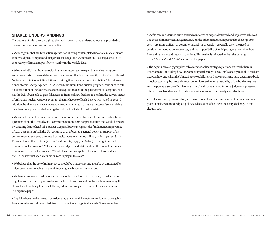## **SHARED UNDERSTANDINGS**

The authors of this paper brought to their task some shared understandings that provided our diverse group with a common perspective.

• We recognize that military action against Iran is being contemplated because a nuclear-armed Iran would pose complex and dangerous challenges to U.S. interests and security, as well as to the security of Israel and possibly to stability in the Middle East.

• We are mindful that Iran has twice in the past attempted to expand its nuclear program secretly—efforts that were detected and halted—and that Iran is currently in violation of United Nations Security Council Resolutions requiring it to cease enrichment activities. The International Atomic Energy Agency (IAEA), which monitors Iran's nuclear program, continues to call for clarification of Iran's evasive responses to questions about the past record of deception. Nor has the IAEA been able to gain full access to Iran's military facilities to confirm the current status of an Iranian nuclear weapons program that intelligence officials believe was halted in 2003. In addition, Iranian leaders have repeatedly made statements that have threatened Israel and that have been interpreted as challenging the right of the State of Israel to exist.

• We agreed that in this paper, we would focus on the particular case of Iran, and not on broad questions about the United States' commitment to nuclear nonproliferation that would be raised by attacking Iran to head off a nuclear weapon. But we recognize the fundamental importance of such questions as: Will the U.S. continue to use force, as a general policy, in support of its commitment to stopping the spread of nuclear weapons, taking military action against North Korea and any other nations (such as Saudi Arabia, Egypt, or Turkey) that might decide to develop a nuclear weapon? What criteria would govern decisions about the use of force to avert development of a nuclear weapon? Would those criteria apply in the case of Iran, or does the U.S. believe that special conditions are in play in this case?

• We believe that the use of military force should be a last resort and must be accompanied by a rigorous analysis of what the use of force might achieve, and at what cost.

• We have chosen not to address alternatives to the use of force in this paper, in order that we might focus more intently on analyzing the benefits and costs of military action. Assessing the alternatives to military force is vitally important, and we plan to undertake such an assessment in a separate paper.

• It quickly became clear to us that articulating the potential benefits of military action against Iran is an inherently different task from that of articulating potential costs. Some important

benefits can be described fairly concisely, in terms of targets destroyed and objectives achieved. The costs of military action against Iran, on the other hand (and in particular, the long-term costs), are more difficult to describe concisely or precisely—especially given the need to consider unintended consequences, and the impossibility of anticipating with certainty how Iran and others would respond to actions. This reality is reflected in the relative lengths of the "Benefits" and "Costs" sections of the paper.

• The paper necessarily grapples with a number of key strategic questions on which there is disagreement—including how long a military strike might delay Iran's capacity to build a nuclear weapon; how and when the United States would know if Iran was carrying out a decision to build a nuclear weapon; the probable impact of military strikes on the stability of the Iranian regime; and the potential scope of Iranian retaliation. In all cases, the professional judgments presented in this paper are based on careful review of a wide range of expert analyses and opinion.

• In offering this rigorous and objective assessment by a bipartisan group of national security professionals, we aim to help de-politicize discussion of an urgent security challenge in this election year.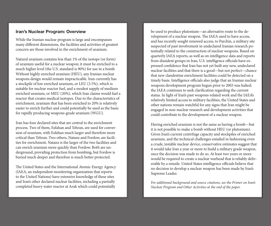## **Iran's Nuclear Program: Overview**

While the Iranian nuclear program is large and encompasses many different dimensions, the facilities and activities of greatest concern are those involved in the enrichment of uranium.

Natural uranium contains less than 1% of the isotope (or form) of uranium useful for a nuclear weapon; it must be enriched to a much higher level (the U.S. standard is 90%) for use in a bomb. Without highly enriched uranium (HEU), any Iranian nuclear weapons design would remain impracticable. Iran currently has a stockpile of low enriched uranium, or LEU (3.5%), which is suitable for nuclear reactor fuel, and a modest supply of medium enriched uranium, or MEU (20%), which Iran claims would fuel a reactor that creates medical isotopes. Due to the characteristics of enrichment, uranium that has been enriched to 20% is relatively easier to enrich further and could potentially be used as the basis for rapidly producing weapons-grade uranium (WGU).

Iran has four declared sites that are central to the enrichment process. Two of them, Esfahan and Tehran, are used for conversion of uranium, with Esfahan much larger and therefore more critical than Tehran. Two others, Natanz and Fordow, are facilities for enrichment. Natanz is the larger of the two facilities and can enrich uranium more quickly than Fordow. Both are underground, providing protection from bombing, but Fordow is buried much deeper and therefore is much better protected.

The United States and the International Atomic Energy Agency (IAEA, an independent monitoring organization that reports to the United Nations) have extensive knowledge of these sites and Iran's other declared nuclear facilities, including a partially completed heavy water reactor at Arak which could potentially

be used to produce plutonium—an alternative route to the development of a nuclear weapon. The IAEA used to have access, and has recently sought renewed access, to Parchin, a military site suspected of past involvement in undeclared Iranian research potentially related to the construction of nuclear weapons. Based on quarterly IAEA reports, as well as on intelligence data and reports from dissident groups in Iran, U.S. intelligence officials have expressed confidence that Iran has not yet built any new, undeclared nuclear facilities and that there is a good—but not perfect—chance that new clandestine enrichment facilities could be detected on a timely basis. Intelligence officials also judge that an Iranian nuclear weapons development program begun prior to 2003 was halted; the IAEA continues to seek clarification regarding the current status. In light of Iran's past weapons-related work and the IAEA's relatively limited access to military facilities, the United States and other nations remain watchful for any signs that Iran might be engaged in non-nuclear research and development activities that could contribute to the development of a nuclear weapon.

Having enriched uranium is not the same as having a bomb—but it is not possible to make a bomb without HEU (or plutonium). Given Iran's current centrifuge capacity and stockpiles of enriched uranium, and the technical challenges entailed in fashioning even a crude, testable nuclear device, conservative estimates suggest that it would take Iran a year or more to build a military grade weapon, once the decision was made to do so. At least two years or more would be required to create a nuclear warhead that is reliably deliverable by a missile. United States intelligence officials believe that no decision to develop a nuclear weapon has been made by Iran's Supreme Leader.

*For additional background and source citations, see the Primer on Iran's Nuclear Program and Other Activities at the end of the paper.*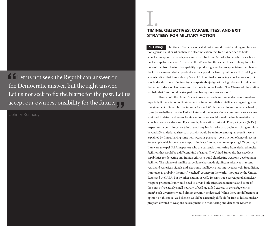Let us not seek the Republican answer or the Democratic answer, but the right answer. Let us not seek to fix the blame for the past. Let us accept our own responsibility for the future.<br>John F. Kennedy <sup>"</sup>

John F. Kennedy



# **TEXAS CONSIDER TRANSITIONS**<br>TIMING, OBJECTIVES, CAPABILITIES, AND EXIT **STRATEGY FOR MILITARY ACTION**

**I.1. Timing.** The United States has indicated that it would consider taking military action against Iran if or when there is a clear indication that Iran has decided to build a nuclear weapon. The Israeli government, led by Prime Minister Netanyahu, describes a nuclear-capable Iran as an "existential threat" and has threatened to use military force to prevent Iran from having the capability of producing a nuclear weapon. Many members of the U.S. Congress and other political leaders support the Israeli position, and U.S. intelligence analysts believe that Iran is already "capable" of eventually producing a nuclear weapon, if it should decide to do so. But intelligence experts also judge, with a high degree of confidence, that no such decision has been taken by Iran's Supreme Leader.<sup>1</sup> The Obama administration has held that Iran should be stopped from having a nuclear weapon.<sup>2</sup>

How would the United States know when such an Iranian decision is made especially if there is no public statement of intent or reliable intelligence regarding a secret statement of intent by the Supreme Leader? While a stated intention may be hard to come by, we believe that the United States and the international community are very well equipped to detect and assess Iranian actions that would signal the implementation of a nuclear weapons decision. For example, International Atomic Energy Agency (IAEA) inspections would almost certainly reveal any Iranian efforts to begin enriching uranium beyond 20% at declared sites; such activity would be an important signal, even if it were explained by Iran as having some non-weapons purpose—construction of a naval reactor for example, which some recent reports indicate Iran may be contemplating.<sup>3</sup> Of course, if Iran were to expel IAEA inspectors who are currently monitoring Iran's declared nuclear facilities, that would be a different kind of signal. The United States also has excellent capabilities for detecting any Iranian efforts to build clandestine weapons-development facilities. The science of satellite surveillance has made significant advances in recent years, and American signals and electronic intelligence has improved as well. In addition, Iran today is probably the most "watched" country in the world—not just by the United States and the IAEA, but by other nations as well. To carry out a secret, parallel nuclear weapons program, Iran would need to divert both safeguarded material and some of the country's relatively small network of well-qualified experts in centrifuge enrichment<sup>4</sup>; such diversions would almost certainly be detected. While there are differences of opinion on this issue, we believe it would be extremely difficult for Iran to hide a nuclear program devoted to weapons development. No monitoring and detection system is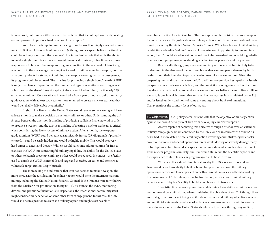failure-proof, but Iran has little reason to be confident that it could get away with creating a secret program to produce fissile material for a weapon.5

Were Iran to attempt to produce a single bomb's worth of highly enriched uranium (HEU), it would take at least one month (although some experts believe the timeline could be as long as four months or more).<sup>6</sup> It is important to note that while the ability to build a single bomb is a somewhat useful theoretical construct, it has little or no correspondence to how nuclear weapons programs function in the real world. Historically, no country in the nuclear age has sought as its goal to build one nuclear weapon; nor has any country adopted a strategy of building one weapon knowing that as a consequence, its program would be exposed. The timeline for producing a single bomb's worth of HEU is subject to change, depending on the number and type of operational centrifuges available as well as the size of Iran's stockpile of already enriched uranium, particularly 20% enriched uranium. 7 Conservatively, it would take Iran a year or more to build a militarygrade weapon, with at least two years or more required to create a nuclear warhead that would be reliably deliverable by a missile.<sup>8</sup>

In short, it is likely that the United States would receive some warning and have at least a month to make a decision on action—military or other. Understanding the difference between the one-month timeline of producing sufficient fissile material in order to produce a weapon, and the two-year timeline of creating a nuclear warhead, is critical when considering the likely success of military action. After a month, the weaponsgrade uranium (WGU) could be reduced significantly in size (25 kilograms); if properly encased, it could be easily hidden and would be highly mobile. This would be a very hard target to detect and destroy. While it would take some additional time for Iran to translate the WGU into a meaningful military capability, the ability for the United States or others to launch preventive military strikes would be reduced. In contrast, the facility used to enrich the WGU is immobile and large and therefore an easier and somewhat vulnerable target (unless deeply buried).

The more telling the indications that Iran has decided to make a weapon, the more persuasive the justification for military action would be to the international community, including the United Nations Security Council. If the Iranians were to withdraw from the Nuclear Non-proliferation Treaty (NPT), disconnect the IAEA monitoring devices, and permit no further on-site inspections, the international community itself might consider military action or some other form of engagement. In this case, the U.S. would still be in a position to exercise a military option and might even be able to

assemble a coalition for attacking Iran. The more apparent the decision to make a weapon, the more persuasive the justification for military action would be to the international community, including the United Nations Security Council. While Israel's more limited military capabilities and earlier "red line" create a closing window of opportunity to take military action, the U.S. could afford to wait for its red line to be crossed—Iran undertaking a dedicated weapons program—before deciding whether to take preventive military action.

Realistically, though, any near-term military action against Iran is likely to be undertaken in the absence of incontrovertible evidence or an open statement by Iranian leaders about their intention to pursue development of a nuclear weapon. Given the deepening mutual distrust between the U.S. and Iran; congressional sympathy for Israel's perspective on a nuclear-capable Iran; and the conviction among some parties that Iran has already secretly decided to build a nuclear weapon, we believe the most likely military scenario is one in which preemptive, unilateral action against Iran is initiated by the U.S. and/or Israel, under conditions of some uncertainty about Iran's real intentions. That scenario is the primary focus of our paper.

**I.2. Objectives.** U.S. policy statements indicate that the objective of military action against Iran would be to prevent Iran from developing a nuclear weapon.<sup>9</sup>

Are we capable of achieving this objective through a brief or even an extended military campaign, whether conducted by the U.S. alone or in concert with others? As described in more detail below, a military action involving aerial strikes, cyber attacks, covert operations, and special operations forces would destroy or severely damage many of Iran's physical facilities and stockpiles. But in our judgment, complete destruction of Iran's nuclear program is unlikely; and Iran would still retain the scientific capacity and the experience to start its nuclear program again if it chose to do so.

We believe that extended military strikes by the U.S. alone or in concert with Israel could delay Iran's ability to build a bomb by up to four years—if the military operation is carried out to near perfection, with all aircraft, missiles, and bombs working to maximum effect.<sup>10</sup> A military strike by Israel alone, with its more limited military capacity, could delay Iran's ability to build a bomb for up to two years.<sup>11</sup>

The distinction between preventing and delaying Iran's ability to build a nuclear weapon would be a critical one, when considering the objectives of war.<sup>12</sup> Although there are strategic reasons for not being specific about redlines and military objectives, official and unofficial statements reveal a marked lack of consensus and clarity within government circles about what the United States should aim to achieve through any military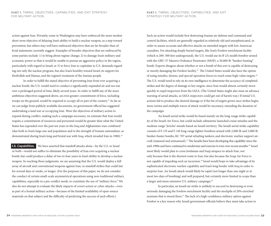**PART I.** TIMING, OBJECTIVES, CAPABILITIES, AND EXIT STRATEGY FOR MILITARY ACTION

action against Iran. Privately, some in Washington may have embraced the more modest short-term objective of delaying Iran's ability to build a nuclear weapon, as a step toward prevention; but others may well have embraced objectives that are far broader than official statements currently suggest. Examples of broader objectives that are embraced by some parties include: 1) to bring about regime change; 2) to damage Iran's military and economic power so that it would be unable to pursue an aggressive policy in the region, particularly with regard to Israel; or 3) to force Iran to capitulate to U.S. demands regarding not only the nuclear program, but also Iran's hostility toward Israel; its support for Hezbollah and Hamas; and the regime's treatment of the Iranian people.

In order to fulfill the stated objective of preventing Iran from ever acquiring a nuclear bomb, the U.S. would need to conduct a significantly expanded air and sea war over a prolonged period of time, likely several years. In order to fulfill any of the more ambitious objectives suggested above, an even greater commitment of force, including troops on the ground, would be required to occupy all or part of the country.13 As far as we can judge from publicly available documents, no government official has suggested undertaking a land war or occupying Iran. Were the objectives of military action to expand during conflict, making such a campaign necessary, we estimate that Iran would require a commitment of resources and personnel would be greater than what the United States has expended over the past ten years in the Iraq and Afghanistan wars combined (due both to Iran's large size and population and to the strength of Iranian nationalism, as demonstrated during Iran's long and brutal war with Iraq, which invaded Iran in 1980).<sup>14</sup>

**I.3. Capabilities.** We have asserted that standoff attacks alone—by the U.S. or Israel or both—would not suffice to eliminate the possibility of Iran ever acquiring a nuclear bomb, but could produce a delay of two to four years in Iran's ability to develop a nuclear weapon. In reaching these judgments, we are assuming that the U.S. would deploy a full array of aircraft and conventional weapons against Iran, in standoff strikes that could last for several days or weeks, or longer. (For the purposes of this paper, we do not consider the conduct of certain small-scale asymmetrical operations using non-traditional military capabilities, especially in a pre-conflict mode, to constitute the use of "military force." We also do not attempt to evaluate the likely impacts of covert action or cyber attacks—even as part of a formal military action—because of the limited availability of open-source materials on that subject and the difficulty of predicting the success of such efforts.)

Such an action would include first destroying Iranian air defense and command and control facilities, which are generally regarded as relatively old and unsophisticated, in order to assure accurate and effective attacks on intended targets with low American casualties. For attacking deeply buried targets, like Iran's Fordow enrichment facility (which is 200–300 feet underground), the U.S. would use its B-2A stealth bomber armed with the GBU-57 Massive Ordnance Penetrator (MOP), a 30,000-lb "bunker-busting" bomb. Experts disagree about whether or not a bomb of this sort is capable of destroying or merely damaging the Fordow facility.15 The United States would also have the option of using missiles, drones, and special operation forces to reach some high-value targets.16 The U.S. would need to rely on its own intelligence to determine the accuracy of completed strikes and the degree of damage to key targets, since Iran would almost certainly move quickly to expel inspectors from the IAEA. (The United States might also issue an advance warning of aerial attacks, so IAEA inspectors could get out of harm's way.) If initial U.S. actions fail to produce the desired damage or if the list of targets grows once strikes begin, more sorties and multiple waves of attack would be necessary, extending the duration of the campaign.

An Israeli aerial strike would be based mainly on the long-range strike capability of the Israeli Air Force, but could include submarine-launched cruise missiles and the medium range 'Jericho' missile based on Israeli territory. The Israeli aerial strike capability consists of F-15I and F-16I long-range fighter-bombers armed with 2,000-lb and 5,000-lb bunker-buster bombs; KC 707 aerial refueling tankers; and electronic warfare support aircraft (manned and unmanned).17 The Israelis have been developing this capability since the mid-1990s and have continued to modernize and exercise it even over recent months.18 Israel most likely would plan to cross Jordanian and Iraqi airspace to attack Iran, not only because that is the shortest route to Iran, but also because the Iraqi Air Force is not capable of impeding such an incursion.19 Israel would hope to take advantage of its sophisticated electronic warfare capability and Iran's long border with Iraq in order to surprise Iran. An Israeli attack would likely be rapid (not longer than one night or at most two days of bombing) and well prepared, but certainly more limited in scope than a larger and more extensive U.S. military campaign.20

In particular, an Israeli air strike is unlikely to succeed in destroying or even seriously damaging the Fordow enrichment facility and the stockpile of 20% enriched uranium that is stored there.<sup>21</sup> The lack of a high-confidence military option against Fordow is a key reason why Israeli government officials believe they must take action to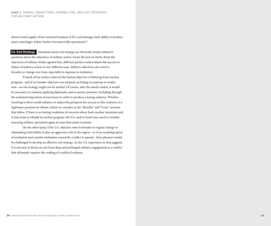destroy Iran's supply of low enriched uranium (LEU) and damage Iran's ability to produce more centrifuges, before Fordow becomes fully operational.<sup>22</sup>

**I.4. Exit Strategy.** Questions about exit strategy are obviously closely related to questions about the objectives of military action. Given the lack of clarity about the objectives of military strikes against Iran, different parties could evaluate the success or failure of military action in very different ways. Military objectives also tend to broaden or change over time, especially in response to retaliation.

If stand-off air strikes achieved the limited objective of delaying Iran's nuclear program—and if no broader objective was adopted, including in response to retaliation—an exit strategy might not be needed. Of course, after the attacks ended, it would be necessary to continue applying diplomatic and economic pressure (including through the sustained imposition of sanctions) in order to produce a lasting solution. Whether resorting to force would enhance or reduce the prospects for success in this endeavor is a legitimate question for debate, which we consider in the "Benefits" and "Costs" sections that follow. If there is no lasting resolution of concerns about Iran's nuclear intentions and if Iran seeks to rebuild its nuclear program, the U.S. and/or Israel may need to consider renewing military operations again at some later point or points.

On the other hand, if the U.S. objective were to broaden to regime change or eliminating Iran's ability to play an aggressive role in the region—or if an escalating spiral of retaliation and counter-retaliation caused the conflict to spread—then planners would be challenged to develop an effective exit strategy. As the U.S. experience in Iraq suggests, it is not easy to devise an exit from deep and prolonged military engagement in a conflict that ultimately requires the crafting of a political solution.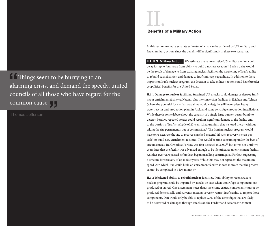$\blacksquare$  Things seem to be hurrying to an alarming crisis, and demand the speedy, united councils of all those who have regard for the **COMMON CAUSE.**<br>Thomas Jefferson <sup>"</sup>

Thomas Jefferson



In this section we make separate estimates of what can be achieved by U.S. military and Israeli military action, since the benefits differ significantly in these two scenarios.

**II.1. U.S. Military Action.** We estimate that a preemptive U.S. military action could delay for up to four years Iran's ability to build a nuclear weapon.<sup>23</sup> Such a delay would be the result of damage to Iran's existing nuclear facilities, the weakening of Iran's ability to rebuild such facilities, and damage to Iran's military capabilities. In addition to these impacts on Iran's nuclear program, the decision to take military action could have broader geopolitical benefits for the United States.

**II.1.1 Damage to nuclear facilities.** Sustained U.S. attacks could damage or destroy Iran's major enrichment facility at Natanz, plus the conversion facilities in Esfahan and Tehran (where the potential for civilian casualties would exist); the still incomplete heavy water reactor and production plant in Arak; and some centrifuge production installations. While there is some debate about the capacity of a single large bunker-buster bomb to destroy Fordow, repeated sorties could result in significant damage to the facility and to the portion of Iran's stockpile of 20% enriched uranium that is stored there—without taking the site permanently out of commission.<sup>24</sup> The Iranian nuclear program would have to re-excavate the site to recover enriched material (if such recovery is even possible) or build new enrichment facilities. This would be time consuming under the best of circumstances. Iran's work at Fordow was first detected in 2007,<sup>25</sup> but it was not until two years later that the facility was advanced enough to be identified as an enrichment facility. Another two years passed before Iran began installing centrifuges at Fordow, suggesting a timeline for recovery of up to four years. While this may not represent the maximum speed with which Iran could build an enrichment facility, it does indicate that the process cannot be completed in a few months.26

**II.1.2 Weakened ability to rebuild nuclear facilities.** Iran's ability to reconstruct its nuclear program could be impaired by attacks on sites where centrifuge components are produced or stored. One assessment notes that, since some critical components cannot be produced domestically and current sanctions severely restrict Iran's ability to import those components, Iran would only be able to replace 2,000 of the centrifuges that are likely to be destroyed or damaged through attacks on the Fordow and Natanz enrichment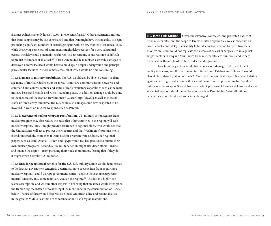facilities (which currently house 10,000-11,000 centrifuges).<sup>27</sup> Other assessments indicate that Iran's supplies may be less constrained and that Iran might have the capability to begin producing significant numbers of centrifuges again within a few months of an attack. Thus, while destroying some critical components might delay recovery for a very substantial period, the delay could potentially be shorter. This uncertainty is one reason it is difficult to predict the impact of an attack.28 If Iran were to decide to replace a severely damaged or destroyed Fordow facility, it would have to build again deeper underground and perhaps place smaller facilities in more remote areas, all of which would be time consuming.

**II.1.3 Damage to military capabilities.** The U.S. would also be able to destroy or damage many of Iran's air defenses, its air force, its military communications networks and command and control centers, and some of Iran's retaliatory capabilities such as the main military bases and missile and rocket-launching sites. In addition, damage could be done to the facilities of the Iranian Revolutionary Guard Corps (IRGC); as well as those of Iran's air force, army, and navy. The U.S. could also damage some sites suspected to be involved in work on nuclear weapons, such as Parchin.<sup>29</sup>

**II.1.4 Deterrence of nuclear weapons proliferation.** U.S. military action against Iran's nuclear program may also reduce the odds that other countries in the region will seek nuclear weapons. First, it might provide assurance to regional allies, who would see that the United States will act to protect their security and that Washington's promises to its friends are credible. Moreover, if Iran's nuclear program were set back, key regional players such as Saudi Arabia, Turkey, and Egypt would feel less pressure to pursue their own nuclear programs. Second, a U.S. military action might also deter others—inside and outside the region—from pursuing their nuclear ambitions, fearing that if they do, it might invite a similar U.S. response.

**II.1.5 Broader geopolitical benefits for the U.S.** U.S. military action would demonstrate to the Iranian government America's determination to prevent Iran from acquiring a nuclear weapon. It could disrupt government control, deplete the Iran treasury, raise internal tensions, and, some maintain, weaken the regime.<sup>30</sup> This last is a highly contested assumption, and we join other experts in believing that an attack would strengthen the Iranian regime instead of weakening it (as mentioned in the consideration of "Costs," below. The use of force would also reassure those American allies and potential allies in the greater Middle East that are concerned about Iran's regional ambitions.

**II.2. Israeli Air Strikes.** Given the extensive, concealed, and protected nature of Iran's nuclear sites, and the scope of Israel's military capabilities, we estimate that an Israeli attack could delay Iran's ability to build a nuclear weapon by up to two years.<sup>31</sup> In our view, Israel could not replicate the success of its earlier surgical strikes against single reactors in Iraq and Syria, since Iran's nuclear sites are numerous and widely dispersed, with one (Fordow) buried deep underground.

Israeli military action would likely do serious damage to the enrichment facility in Natanz, and the conversion facilities around Esfahan and Tehran. It would also likely destroy a portion of Iran's 3.5% enriched uranium stockpile. Successful strikes against centrifuge production facilities would contribute to postponing Iran's ability to build a nuclear weapon. Should Israel also attack portions of Iran's air defenses and some suspected weapons development locations such as Parchin, Iran's overall military capabilities would be at least somewhat damaged.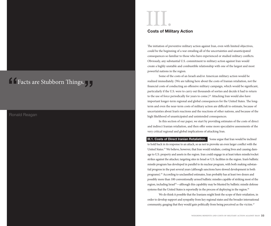# **Facts are Stubborn Things.** " Facts are Stubborn Things.

## Ronald Reagan

III. **Costs of Military Action**

The initiation of preventive military action against Iran, even with limited objectives, could be the beginning of a war entailing all of the uncertainties and unanticipated consequences so familiar to those who have experienced or studied military conflicts. Obviously, any substantial U.S. commitment to military action against Iran would create a highly unstable and combustible relationship with one of the largest and most powerful nations in the region.

Some of the costs of an Israeli and/or American military action would be realized immediately. (We are talking here about the costs of Iranian retaliation, not the financial costs of conducting an offensive military campaign, which would be significant, particularly if the U.S. were to carry out thousands of sorties and decide it had to return to the use of force periodically for years to come.)<sup>32</sup> Attacking Iran would also have important longer-term regional and global consequences for the United States. The longterm and even the near-term costs of military action are difficult to estimate, because of uncertainties about Iran's reactions and the reactions of other nations, and because of the high likelihood of unanticipated and unintended consequences.

In this section of our paper, we start by providing estimates of the costs of direct and indirect Iranian retaliation, and then offer some more speculative assessments of the very critical regional and global implications of attacking Iran.

**III.1. Costs of Direct Iranian Retaliation.** Some argue that Iran would be inclined to hold back in its response to an attack, so as not to provoke an even larger conflict with the United States.33 We believe, however, that Iran would retaliate, costing lives and causing damage to U.S. property and assets in the region. Iran could engage in at least token missile/rocket strikes against the attacker, targeting sites in Israel or U.S. facilities in the region. Iran's ballistic missile program has developed in parallel to its nuclear program, with both making substantial progress in the past several years (although sanctions have slowed development in both programs).<sup>34</sup> According to unclassified estimates, Iran probably has at least two dozen and possibly more than 100 conventionally armed ballistic missiles capable of striking most of the region, including Israel<sup>35</sup>—although this capability may be blunted by ballistic missile defense systems that the United States is reportedly in the process of deploying in the region.<sup>36</sup>

We do think it possible that the Iranians might limit the scope of their retaliation, in order to develop support and sympathy from key regional states and the broader international community, gauging that they would gain politically from being perceived as the victim.<sup>37</sup>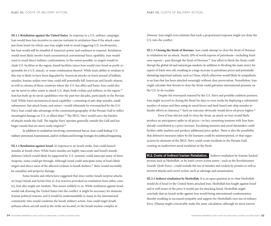**III.1.1 Retaliation against the United States.** In response to a U.S. military campaign, Iran would have less incentive to exercise restraint in retaliation than if the attack came just from Israel (in which case Iran might wish to avoid triggering U.S. involvement); but Iran would still be mindful of America's power and readiness to respond. Retaliation would most likely involve Iran's asymmetrical conventional force capability. Iran would want to avoid direct military confrontation, to the extent possible, so targets would include U.S. facilities in the region, Israeli facilities (since Iran would view Israel as partly responsible for a U.S. attack), or some combination thereof. While Iran's ability to retaliate in this way is likely to have been degraded by American attacks on Iran's arsenal of ballistic missiles, Iranian strikes over time could still potentially kill American and Israeli citizens, as well as citizens of those countries where the U.S. has allies and bases. Iran could also use its naval or other assets to attack U.S. ships, both civilian and military, in the region.<sup>38</sup> Iran has built up its naval capabilities over the past two decades, particularly in the Persian Gulf. While Iran's asymmetrical naval capability—consisting of anti-ship missiles, small submarines, fast attack boats, and mines—would ultimately be overmatched by the U.S. Navy, Iran could take advantage of the constrained geography of the Persian Gulf to inflict meaningful damage on U.S. or allied ships.39 The IRGC Navy would carry the burden of attacks inside the Gulf. The regular Navy operates generally outside the Gulf and has larger vessels that are more easily targeted.<sup>40</sup>

In addition to retaliation involving conventional forces, Iran could kidnap U.S. military personnel, businessmen, and/or civilians and leverage hostages for political bargaining.

**III.1.2 Retaliation against Israel.** In response to an Israeli strike, Iran could launch missiles at Israeli cities. While Iran's missiles are highly inaccurate and Israel's missile defenses (which would likely be supported by U.S. systems) could intercept many of these weapons, some could get through. Although Israel could anticipate some of Iran's likely targets and direct most of the affected civilians to bomb shelters,<sup>41</sup> there would inevitably be casualties and property damage.

Some Israelis and others have suggested that since earlier Israeli surprise attacks on Iraq's Osirak and Syria's Deir ez-Zor reactors provoked no retaliation from either country, Iran also might not retaliate. This seems unlikely to us. While retaliation against Israel would risk drawing the United States into the conflict, it might be necessary for domestic Iranian political reasons, and it would be understandable to many in the international community who would condemn the Israeli military action. Iran could target Israeli airbases where aircraft used in the strike are located, or the Israeli nuclear complex at

Dimona. Iran might even estimate that such a proportional response might not draw the U.S. into the conflict.

**III.1.3 Closing the Strait of Hormuz.** Iran could attempt to close the Strait of Hormuz in retaliation for an attack. Nearly 20% of world exports of petroleum—including Iran's own exports—pass through the Strait of Hormuz.42 Any effort to block the Strait could disrupt the global oil and natural gas markets (in addition to blocking the main artery for export of Iran's own oil), resulting in a large increase in petroleum prices and potentially alienating important nations, such as China, which otherwise would likely be sympathetic to an Iran that has been attacked seemingly without clear provocation. Nonetheless, Iran might calculate that threats to close the Strait could galvanize international pressure on the U.S. to de-escalate.

Despite the overmatch enjoyed by the U.S. Navy and possible coalition partners, Iran might succeed in closing the Strait for days or even weeks by deploying a substantial number of mines and then using its naval forces and land-based anti-ship missiles to hinder efforts at clearance.<sup>43</sup> Such an outcome obviously would drive oil prices higher.<sup>44</sup>

Even if Iran did not seek to close the Strait, an attack on Iran would likely produce an anticipatory spike in oil prices—in fact, mounting tensions with Iran have already contributed to a price increase. Escalating tensions and naval skirmishes could further rattle markets and produce additional price spikes. There is also the possibility that defensive measures taken by the Iranians could be misinterpreted, or that rogue actions by elements of the IRGC Navy could create incidents in the Persian Gulf, creating an inadvertent naval escalation in the Strait.

**III.2. Costs of Indirect Iranian Retaliation.** Indirect retaliation by Iranian-backed proxies such as Hezbollah, or by Iran's covert action assets—such as the Revolutionary Guards' Qods Force—could include the use of missiles and rockets by proxies as well as terrorist attacks and covert action, such as sabotage and assassination.

**III.2.1 Indirect retaliation by Hezbollah.** It is an open question as to what Hezbollah would do if Israel or the United States attacked Iran. Hezbollah has fought against Israel and is well aware of the price it would pay for attacking Israel. Hezbollah might conclude that an Israeli strike against Iran would bring international condemnation, thereby resulting in increased sympathy and support for Hezbollah's own use of military force. (Hamas might conceivably make the same calculation, although its more narrow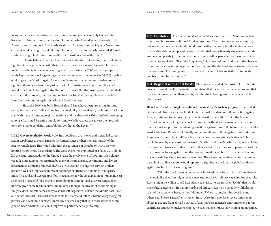focus on the Palestinian–Israeli arena makes that somewhat less likely.) Yet events in Syria have introduced uncertainties for Hezbollah, which has depended heavily on the Assad regime for support. A seriously weakened Assad or a completely new Syrian government would change the calculus for Hezbollah; depending on who succeeded Assad, Hezbollah might find it much more difficult to sustain a war with Israel.<sup>45</sup>

If Hezbollah (and perhaps Hamas) were to decide to take action, they could inflict significant damage on Israel with their extensive rocket and missile arsenals. Hezbollah's military capability is now significantly greater than during the 2006 war; the group currently has thousands of longer-range rockets and missiles (Israel estimates 50,000) capable of hitting central Israel.46 Again, Israel's Iron Dome anti-rocket and missile defenses significantly enhanced over the past year, with U.S. assistance—would blunt the attack, as would Israeli retaliation against the Hezbollah arsenals. But the resulting conflict could kill civilians, inflict property damage, and set back the Israeli economy. Hezbollah could also launch terrorist attacks against Israelis and Israeli interests.

Since the 2006 war, both Hezbollah and Israel have been preparing, in some sense, for their next conflict. Combine the possibility of a retaliatory cycle after attacks on Iran with these simmering regional tensions and the threat of a Third Intifada developing among a frustrated Palestine population, and we believe there are at least the preconditions for a major escalation and a bloody conflict in the Levant.<sup>47</sup>

**III.2.2 Covert retaliation worldwide.** Iran could also use its own and controlled covert action capabilities to attack Israel or the United States or their interests outside of the greater Middle East. This would offer Iran the advantage of deniability, with a view to limiting the potential for escalation. The Qods Force was implicated in a failed 2011 plot to kill the Saudi ambassador to the United States; the involvement of Qods in such a clumsy yet audacious attempt was regarded by many in the intelligence community and law enforcement as surprising but credible.<sup>48</sup> Likewise, Iranian intelligence services or their proxies have been implicated in recent bombings or attempted bombings in Bulgaria, India, Thailand, and Georgia (possibly in retaliation for the assassination of Iranian nuclear scientists by Israelis).<sup>49</sup> The extent of Iran's ability to conduct such a covert campaign is unclear, given some recent failures and missteps, though the success of the bombing in Bulgaria does indicate some ability to attack soft targets well outside the Middle East. Even one or two successful terrorist attacks could kill many and inflict substantial psychological, physical, and economic damage. Moreover, it seems likely that with more experience and greater determination, Iran could improve its performance significantly.

**III.3. Escalation.** Any Iranian retaliation could lead to Israeli or U.S. responses that in turn might provoke additional Iranian responses. The consequences are uncertain, but an escalation spiral certainly could result, with either or both sides taking actions that neither side contemplated before an initial strike—particularly since what one side sees as a completely justified retaliation may very well be perceived by the other side as a deliberate escalation. Given the "fog of war," high levels of mutual distrust, the absence of communication among regional combatants, and the ability of events to overtake even the most careful planning, miscalculation and uncontrollable escalation to full scale combat cannot be discounted.50

**III.4. Regional and Global Costs.** The long-term and global costs to U.S. interests are even more difficult to estimate. Recognizing that these may be speculations and that there is disagreement on these points, we offer the following assessments of possible global costs.

**III.4.1 A breakdown in global solidarity against Iran's nuclear program.** The United States would likely seek some kind of international mandate for military action against Iran, and attempt to put together a large multinational coalition. But if the U.S. and/ or Israel end up attacking Iran's nuclear program without such a mandate, hard-won international support for maintaining sanctions against Iran could be substantially weakened. China and Russia would loudly condemn military actions against Iran, and some European nations might pull back from a sanctions regime after such attacks.<sup>51</sup> Iran would be seen by many around the world, Muslims and non-Muslims alike, as the victim of unjustified American and/or Israeli military action. Sanctions are at present one of the main coercive levers against Iran; the heaviest sanctions on Iranian oil sales and access to worldwide banking have just come online. The weakening of the sanctions regime as a result of a military action would represent a significant break in the global solidarity against the Iranian nuclear program.52

With the breakdown of cooperative international efforts to isolate Iran, there is the possibility that Iran might receive new support for its military capacity. For example, Russia might be willing to sell Iran advanced surface-to-air missiles (SAMs) that would make future attacks on Iran more costly and difficult. Russia is currently withholding sales of these systems because they fall under U.N. sanctions, but this decision and others could be revisited after strikes on Iran.53 Also, Iran now faces severe limits on its ability to acquire from abroad a variety of dual-purpose materials and components for its centrifuges and other nuclear technology. States that see Iran as the victim of an unjustified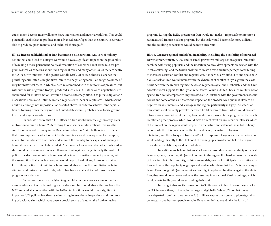attack might become more willing to share information and material with Iran. This could potentially enable Iran to produce more advanced centrifuges than the country is currently able to produce, given material and technical shortages.<sup>54</sup>

**III.4.2 Increased likelihood of Iran becoming a nuclear state.** Any sort of military action that could lead to outright war would have a significant impact on the possibility of reaching a more permanent political resolution of concerns about Iran's nuclear program (as well as concerns about Iran's regional role and many other issues that are central to U.S. security interests in the greater Middle East). Of course, there is a chance that punishing aerial attacks might drive Iran to the negotiating table—although we know of very few historical cases in which air strikes combined with other forms of pressure (but without the use of ground troops) produced such a result. Rather, once negotiations are abandoned for military action, it would become extremely difficult to pursue diplomatic discussions unless and until the Iranian regime surrenders or capitulates—which seems unlikely, although not impossible. As asserted above, in order to achieve Iran's capitulation or to bring down the regime, the United States would probably have to use ground forces and wage a long-term war.

In fact, we believe that a U.S. attack on Iran would increase significantly Iran's motivation to build a bomb.55 According to one senior military official, this was the conclusion reached by many in the Bush administration.<sup>56</sup> While there is no evidence that Iran's Supreme Leader has decided the country should develop a nuclear weapon, many observers believe that Iran's leaders want the country to be capable of making a bomb if they perceive one to be needed. After an attack or repeated attacks, Iran's leadership could become more convinced than ever that regime change is really the goal of U.S. policy. The decision to build a bomb would be taken for national security reasons, with the assumption that a nuclear weapon would help to head off any future or sustained U.S. military action. But building a bomb would also redress the humiliation of being attacked and restore national pride, which has been a major driver of Iran's nuclear program for a decade.

In connection with a decision to go rapidly for a nuclear weapon, or perhaps even in advance of actually making such a decision, Iran could also withdraw from the NPT and end all cooperation with the IAEA. Such actions would have a significant impact on U.S. policy objectives by eliminating international inspections and monitoring of declared sites, which have been a crucial source of data on the Iranian nuclear

program. Losing the IAEA presence in Iran would not make it impossible to monitor a reconstituted Iranian nuclear program, but the task would become far more difficult and the resulting conclusions would be more uncertain.

**III.4.3. Greater regional and global instability, including the possibility of increased terrorist recruitment.** A U.S. and/or Israeli preventive military action against Iran could combine with rising populism and the uncertain political developments associated with the "Arab awakening" and the Syrian civil war to create a toxic mixture, perhaps contributing to increased sectarian conflict and regional war. It is particularly difficult to anticipate how a U.S. attack on Iran would interact with the dynamics of conflict in Syria, given the close nexus between the Iranian regime, the Assad regime in Syria, and Hezbollah, and the United States' vocal support for the Syrian rebel forces. While a United States-led military action against Iran could temporarily improve official U.S. relations with the governments of Saudi Arabia and some of the Gulf States, the impact on the broader Arab public is likely to be negative for U.S. interests and leverage in the region, particularly in Egypt. An attack on Iran would most certainly provoke increased hostility toward Israel, which could escalate into a regional conflict or, at the very least, undermine prospects for progress on the Israeli Palestinian peace process, which would have a direct effect on U.S. security interests. Much of the impact on the region would depend on the nature and extent of the initial military actions, whether it is only Israel or the U.S. and Israel, the nature of Iranian retaliation, and the subsequent Israeli and/or U.S. responses. Large-scale Iranian retaliation would add significantly to the likelihood of opening up a broader conflict in the region, through the escalation spiral described above.

In addition, we believe that an attack on Iran would enhance the ability of radical Islamist groups, including Al Qaeda, to recruit in the region. It is hard to quantify the scale of this effect, but if Iraq and Afghanistan are models, one could anticipate that an attack on Iran will boost the popularity of groups and leaders who claim that the U.S. is the enemy of Islam. Even though Al Qaeda's Sunni leaders might be pleased by attacks against the Shiite Iran, they would nonetheless welcome the resulting international Muslim outrage, which would create fertile ground for expanding their ranks.

Iran might also use its connections to Shiite groups in Iraq to encourage attacks on U.S. interests there, in the region at large, and globally. While U.S. combat forces have departed from Iraq, thousands of U.S. military support personnel, diplomats, civilian contractors, and business people remain. Retaliation in Iraq could take the form of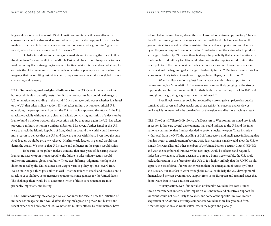large-scale rocket attacks against U.S. diplomatic and military facilities or attacks on convoys; or it could be disguised as criminal activity, such as kidnapping U.S. citizens. Iran might also increase its behind-the-scenes support for sympathetic groups in Afghanistan as well, where there is an even larger U.S. presence.<sup>57</sup>

Globally, in addition to rattling global markets and increasing the price of oil in the short term,<sup>58</sup> a new conflict in the Middle East would be a major disruptive factor in a world economy that is struggling to regain its footing. While this paper does not attempt to estimate the global economic costs of a single or a series of preemptive strikes against Iran, we gauge that the resulting instability could bring even more uncertainty to global markets, currencies, and recovery.

**III.4.4 Reduced regional and global influence for the U.S.** One of the most serious but most difficult to quantify costs of military action against Iran could be damage to U.S. reputation and standing in the world.<sup>59</sup> Such damage could occur whether it is Israel or the U.S. that takes military action. If Israel takes military action over official U.S. objections, the perception will be that the U.S. has tacitly approved the attack. If the U.S. attacks, especially without a very clear and widely convincing indication of a decision by Iran to build a nuclear weapon, the perception will be that once again the U.S. has taken preventive military action in a unilateral fashion. Moreover, if either Israel or the U.S. were to attack the Islamic Republic of Iran, Muslims around the world would have even more reason to believe that the U.S. and Israel are at war with Islam. Even though some Arab leaders would be privately relieved, Muslim world leaders in general would condemn the attack. We believe that U.S. stature and influence in the region would suffer.

To be sure, some policy analysts contend that after years of declaring that an Iranian nuclear weapon is unacceptable, the failure to take military action would undermine America's global credibility. These two differing judgments highlight the dilemma faced by the United States as it weighs various policy options toward Iran. We acknowledge a third possibility as well—that the failure to attack and the decision to attack *both* could have some negative reputational consequences for the United States. The challenge then would be to determine which of those consequences are most probable, important, and lasting.

**III.4.5 What about regime change?** We cannot know for certain how the initiation of military action against Iran would affect the regime's grasp on power. But history and recent experience hold some clues. We note that military attacks by other nations have seldom led to regime change, absent the use of ground forces to occupy territory.<sup>60</sup> Indeed, the 2011 air campaign in Libya suggests that, even with local rebel forces active on the ground, air strikes would need to be sustained for an extended period and supplemented by on the ground support from other nations' professional militaries in order to produce a change in leadership. Of course, there is always the possibility that an effective attack on Iran's nuclear and military facilities would demonstrate the impotence and confirm the failed policies of the Iranian regime. Such a demonstration could hearten resistance and perhaps signal the beginning of a change of leadership in Iran.<sup>61</sup> But in our view, air strikes alone are not likely to lead to regime change, regime collapse, or capitulation.<sup>62</sup>

Would military action against Iran increase or undermine support for the regime among Iran's population? The former seems more likely, judging by the strong support showed by the Iranian public for their leaders after the Iraqi attack in 1982 and throughout the grueling, eight-year war that followed.<sup>63</sup>

Even if regime collapse could be produced by a prolonged campaign of air attacks combined with covert and cyber attacks, and drone activity (an outcome that we view as unlikely), it is not necessarily the case that Iran or the region would be more stable as a result.

**III.5. The Costs If There Is Evidence of a Decision to Weaponize.** As noted previously in section I, there are several developments that could indicate to the U.S. and the international community that Iran has decided to go for a nuclear weapon. These include a withdrawal from the NPT, the expelling of IAEA inspectors, and intelligence indicating that Iran has begun to enrich uranium beyond 20%. Such warning signals would allow the U.S. to consult first with allies and other members of the United Nations Security Council (UNSC) and with the neighbors of Iran over what next steps would be effective and required. Indeed, if the evidence of Iran's decision to pursue a bomb were credible, the U.S. could seek authorization to use force from the UNSC. It is highly unlikely that the UNSC would approve the use of force, if for no other reason than the anticipation of vetoes by China and Russian. But an effort to work through the UNSC could help the U.S. develop moral, financial, and perhaps even military support from some European and regional states that do not want Iran to have a nuclear weapon.

Military action, even if undertaken unilaterally, would be less costly under these circumstances, in terms of its impact on U.S. influence and objectives. Support for sanctions would not be so likely to weaken, and some of the specific limits on Iranian acquisition of SAMs and centrifuge components would be more likely to hold firm. America's reputation also would suffer less, in the region and globally.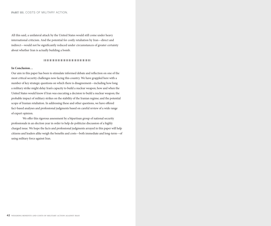All this said, a unilateral attack by the United States would still come under heavy international criticism. And the potential for costly retaliation by Iran—direct and indirect—would not be significantly reduced under circumstances of greater certainty about whether Iran is actually building a bomb.

## ❘ ❙ ❘ ❙ ❘ ❙ ❘ ❙ ❘ ❙ ❘ ❙ ❘ ❙ ❘ ❙ ❘ ❙ ❘ ❙ ❘ ❙ ❘ ❙ ❘ ❙ ❘ ❙ ❘ ❙ ❘ ❙ ❘ ❙ ❘

## **In Conclusion…**

Our aim in this paper has been to stimulate informed debate and reflection on one of the most critical security challenges now facing this country. We have grappled here with a number of key strategic questions on which there is disagreement—including how long a military strike might delay Iran's capacity to build a nuclear weapon; how and when the United States would know if Iran was executing a decision to build a nuclear weapon; the probable impact of military strikes on the stability of the Iranian regime; and the potential scope of Iranian retaliation. In addressing these and other questions, we have offered fact-based analyses and professional judgments based on careful review of a wide range of expert opinion.

We offer this rigorous assessment by a bipartisan group of national security professionals in an election year in order to help de-politicize discussion of a highly charged issue. We hope the facts and professional judgments arrayed in this paper will help citizens and leaders alike weigh the benefits and costs—both immediate and long-term—of using military force against Iran.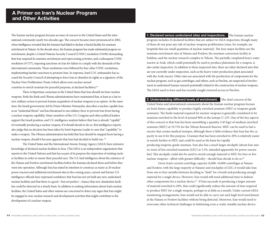The Iranian nuclear program became an issue of concern to the United States and the international community nearly two decades ago. The concern became more pronounced in 2002, when intelligence revealed that the Iranians had failed to declare a buried facility for uranium enrichment at Natanz. In the decade since, the Iranian program has made substantial progress on enrichment, despite a United Nations Security Council (UNSC) resolution (#1696) demanding that Iran suspend its uranium enrichment and reprocessing activities, and a subsequent UNSC resolution (#1737), imposing sanctions on Iran for failure to comply with the demands of the international community. These resolutions were followed by four other UNSC resolutions, implementing harsher sanctions to pressure Iran. In response, Iran's U.N. ambassador has accused the Security Council of attempting to force Iran to abandon its rights as a signatory of the Nuclear Non-Proliferation Treaty (which allows non-nuclear-armed countries to enrich uranium for peaceful purposes, at declared facilities).<sup>64</sup>

There is bipartisan consensus in the United States that Iran should not have nuclear weapons. Both the Bush and Obama administrations have maintained that, at least as a last resort, military action to prevent Iranian acquisition of nuclear weapons is an option. At the same time, the Israeli government, led by Prime Minister Netanyahu, describes a nuclear capable Iran as an "existential threat" and has threatened to use military force to prevent Iran from having a nuclear weapons capability. Many members of the U.S. Congress and other political leaders support the Israeli position, and U.S. intelligence analysts believe that Iran is already "capable" of eventually producing a nuclear weapon, if it should decide to do so. But intelligence experts also judge that no decision has been taken by Iran's Supreme Leader to user that "capability" to make a weapon. The Obama administration has held that Iran should be stopped from having a nuclear weapon, should it become apparent that Iran had decided to build one. 65

The United States and the International Atomic Energy Agency (IAEA) have extensive knowledge of declared nuclear facilities in Iran. (The IAEA is an independent organization that reports to the United Nations and that has as part of its purpose the inspection of existing nuclear facilities in order to ensure their peaceful use). The U.S. had intelligence about the existence of the Natanz and Fordow enrichment facilities before the Iranians declared them and before they went into operation. Although Iran has stated its intention to construct as many as 20 nuclear power reactors and additional enrichment sites in the coming years, current and former U.S. intelligence officials have expressed confidence that Iran has not yet built any new, undeclared nuclear facilities and that there is a good—but not perfect—chance that new clandestine facilities could be detected on a timely basis. In addition to seeking information about Iran's nuclear facilities, the United States and other nations are concerned to detect any signs that Iran might be engaged in non-nuclear research and development activities that might contribute to the development of a nuclear weapon.

## **1. Declared versus undeclared sites and inspections.** The Iranian nuclear

program includes 24 declared facilities that are subject to IAEA inspection, though many of these do not pose any risk of nuclear weapons proliferation (nine, for example, are hospitals that use small quantities of nuclear material). The four major facilities are the uranium enrichment sites at Natanz and Fordow, the uranium conversion facility at Esfahan, and the nuclear research complex in Tehran. The partially completed heavy water reactor at Arak, which could potentially be used to produce plutonium for a weapon, is also under inspection. In addition to these inspected sites, there are other declared sites that are not currently under inspection, such as the heavy water production plant associated with the Arak reactor. Other sites are associated with the production of components for the nuclear program, such as gas centrifuges, and others, such as Parchin, are suspected of involvement in undeclared Iranian research potentially related to the construction of nuclear weapons. The IAEA used to have and has recently sought renewed access to Parchin.

**2. Understanding different levels of enrichment.** The chief concern of the United States and international community about the Iranian nuclear program focuses on Iran's future capability to produce highly enriched uranium (HEU or weapons-grade uranium). The fissile material required for nuclear weapons is generally considered to be uranium enriched to the level of around 90% in the isotope U-235. One of the key aspects of this concern is that Iran has been assembling a quantity (145 kgs) of medium enriched uranium (MEU) at 19.75% for the Tehran Research Reactor. MEU can be used to fuel a reactor that creates medical isotopes, although there is little evidence that Iran has the capacity to use it for this purpose. Uranium that has been enriched to 20% is relatively easier to enrich further to HEU and could be used as the basis for rapidly producing weapons-grade uranium. Iran also has a much larger stockpile (about four metric tons) of low enriched uranium (LEU) at 3.5%, intended apparently for power reactor

fuel. This stockpile could also be used to enrich enough material to HEU for four or five nuclear weapons—albeit with greater difficulty—should Iran decide to do so.<sup>66</sup> Given Iran's current centrifuge capacity (6,000–10,000 centrifuges at Natanz

and Fordow, with the large majority at Natanz) and stockpiles of LEU, it would take Iran from one to four months between deciding to "dash" for a bomb and producing enough material for a single device. However, Iran would still need additional time to fashion other components for a nuclear device.67 If Iran succeeds in producing a larger amount of material enriched to 20%, that could significantly reduce the amount of time required to produce HEU for a single weapon, perhaps to as little as a month. Under current IAEA monitoring arrangements, Iran would not be able to carry out such high-level enrichment at the Natanz or Fordow facilities without being detected. Moreover, Iran would need to overcome other technical challenges in fashioning even a crude, testable nuclear device.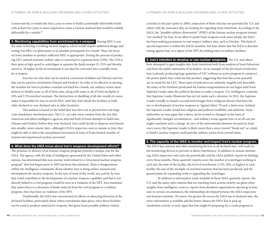Conservatively, it would take Iran a year or more to build a potentially deliverable bomb, with at least two years or more required to create a nuclear warhead that would be reliably deliverable by a missile.<sup>68</sup>

**3. Monitoring capabilities from enrichment to a weapon.** Having HEU is not the same as having a working nuclear weapon, which would require additional design and testing; but HEU (or plutonium) is an absolute prerequisite for a bomb. Thus, the focus on Iran's timeline to produce sufficient HEU is appropriate. During the process of producing LEU, natural uranium (yellow cake) is converted to a gaseous form (UF6). The UF6 is then spun at high speed in centrifuges to separate the fissile isotope (U-235) and thereby enrich it. At higher levels of enrichment it can then be converted into a metallic form for a weapon.

Iran has two sites that can be used for conversion (Esfahan and Tehran) and two that can be used for enrichment (Natanz and Fordow). In order to be effective in slowing the timeline for Iran to produce uranium enriched for a bomb, any military action must destroy or disable some or all of these sites, along with some or all of Iran's stockpile of 20% and 3.5% enriched uranium. The destruction or disabling of all sites would of course make it impossible for Iran to enrich HEU until they had rebuilt the facilities or built other declared or non-declared sites at other locations.

This analysis is based on the belief that Iran does not at present have any large scale clandestine enrichment sites. The U.S. can take some comfort from the fact that American and allied intelligence agencies detected both of Iran's attempts to build sites (Natanz and Fordow) before they were declared. Iran could decide to disperse enrichment into smaller, more remote sites—although if IAEA inspectors were to remain in Iran, they might be able to detect the unexplained movement of some of Iran's limited number of trained and experienced nuclear personnel.

## **4. What does the IAEA know about Iran's weapons development efforts?**

The presence or absence of an Iranian weapons program presents a unique case for the IAEA. The agency, with the help of intelligence generated by the United States and other nations, has determined that non-nuclear work related to a "structured nuclear weapons program" that had begun prior to 2003 has been discontinued. There is disagreement within the intelligence community about whether Iran is doing ad hoc research and development for nuclear weapons. In the eyes of most of the world, any activity by Iran that could contribute to the development of a nuclear weapons capability and that is not directly linked to a civil program would be seen as a violation of the NPT. Iran maintains that unless there is a diversion of fissile material from the civil program to a military program, there has been no violation of the NPT.

Traditionally, the IAEA has concentrated its efforts on detecting diversion at the declared facilities, particularly those where enrichment takes place, since those facilities can be used to produce material for weapons. But given Iran's possible military-related

activities in the past (prior to 2003), inspection of these sites has not provided the U.S. and others with the assurance they are looking for regarding Iran's intentions. According to the IAEA, the "possible military dimensions" (PMD) of the Iranian nuclear program remain "un-clarified" by Iran. In an effort to probe Iran's weapons work more deeply, the IAEA has been seeking permission to visit suspect military sites, such as Parchin. This kind of special inspection is within the IAEA's mandate, but Iran claims that the IAEA is discriminating against Iran, as a signer of the NPT, by seeking entry to military facilities.

**5. Iran's intention to develop or use nuclear weapons.** The U.S. and others have attempted to gain insights into Iran's intentions both from analysis of Iran's behaviors, and from the public statements of its leaders. As an example of the first kind of indicator, Iran is already producing large quantities of LEU without an active program to construct the power plants that could use this product, suggesting that Iran has a non-peaceful use in mind for the LEU. These types of indicators are relatively tangible and detectable. Yet many of the timelines predicated for Iranian weaponization do not begin until Iran's Supreme Leader takes the political decision to make a weapon. U.S. intelligence contends that Supreme Leader Khamenei has not yet made such a decision. In 2012, the Supreme Leader actually re-issued a second and stronger fatwa (religious decree) that bans the use or development of nuclear weapons as "against Islam." If such a fatwa were violated, the Supreme Leader would lose religious and political credibility and authority. Some authorities on Iran argue that a fatwa can be revised or changed on the basis of significantly changed circumstances—and military action against Iran or an all-out war might constitute such a change. In view of the international attention focused on Iran's every move, the Supreme Leader is likely aware that a move toward "break out" or a dash to build a nuclear weapon could provoke military action from several states.

## **6. The capacity of the IAEA to monitor and inspect Iran's nuclear program.**

The IAEA has cameras and other monitoring devices at all declared sites, with seals on the monitoring devices to prevent or detect interference. In addition to remote monitoring, IAEA inspectors visit each site periodically and the IAEA publicly reports its findings every three months. These quarterly reports cover the number of centrifuges working in each site; the state of the facility; the level of enrichment (3.5%, 20%, or higher) in each facility; the size of the stockpile of enriched uranium that has been produced; and the general plans for expanding work or upgrading the centrifuges.

In addition to information made available in these IAEA quarterly reports, the U.S. and the many other nations that are watching Iran's actions closely can glean other insights from intelligence sources, reports from dissident organizations operating in Iran, and, in certain circumstances, the relationships developed between the IAEA inspectors and Iranian scientists. Of course, the greater the access the IAEA has to declared sites, the more information is available and the better chance the IAEA has to pick up clandestine activity or early signs that Iran might be preparing for a crash program to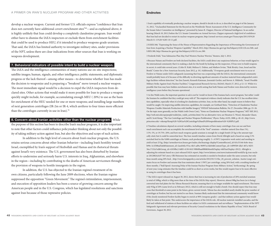develop a nuclear weapon. Current and former U.S. officials express "confidence that Iran does not currently have additional covert enrichment sites"<sup>69</sup>-and as explained above, it is highly unlikely that Iran could develop a completely clandestine program. Iran would either have to dismiss the IAEA inspectors or exclude them from enrichment facilities that could be used to produce HEU, if it intended to produce weapons-grade uranium. That said, the IAEA has limited authority to investigate military sites, under provisions of the NPT, unless there are clear indications from other sources that Iran is working on weapons development.

## **7. Behavioral indicators of possible intent to build a nuclear weapon.**

The IAEA and the intelligence communities of many nations use on-site inspections; satellite images; human, signals, and other intelligence; public statements; and diplomatic progress or the lack thereof—among other means—to determine whether Iran has made the decision to weaponize and is preparing a "breakout" move toward a nuclear weapon. The most immediate signal would be a decision to expel the IAEA inspectors from declared sites. Other actions that would make it more possible for Iran to produce a weapon quickly might include, for example, accumulating enough MEU ( 20%) to use as the basis for enrichment of the HEU needed for one or more weapons; and installing large numbers of next generation centrifuges (IR-2m or IR-4, which arethree to four times more efficient than the centrifuges currently in use in Iran).<sup>70</sup>

## **8. Concern about Iranian activities other than the nuclear program.** While

the purpose of this section has been to describe Iran's nuclear program, it is also important to note that other factors could influence policymaker thinking about not only the possibility of taking military action against Iran, but also the objectives and scope of such action.

In addition to the high level of concern about Iran's nuclear program, the U.S. retains serious concerns about other Iranian behavior—including Iran's hostility toward Israel, exemplified by Iran's support of Hezbollah and Hamas and its rhetorical threats against Israel's very existence. The U.S. government has also been disturbed by Iranian efforts to undermine and seriously harm U.S. interests in Iraq, Afghanistan, and elsewhere in the region—including by contributing to the deaths of American servicemen through the provision of weapons to hostile insurgents in the region.

In addition, the U.S. has objected to the Iranian regime's treatment of its own citizens, particularly following the June 2009 elections, when the Iranian regime suppressed the opposition "Green Movement." The regime's intimidation, imprisonment, and execution of opposition leaders has been a source of growing concern among the American people and in the U.S. Congress, which has legislated resolutions and sanctions against Iran because of those repressive policies.

## **Endnotes**

1 Iran's capability of eventually producing a nuclear weapon, should it decide to do so, is described on page 6 of the January 31, 2012, "Unclassified Statement for the Record on the Worldwide Threat Assessment of the U.S. Intelligence Community for the Senate Select Committee on Intelligence," presented by James R. Clapper, Director of National Intelligence. In an earlier hearing (March 10, 2011) before the U.S. Senate Committee on Armed Services, Clapper expressed a high level of confidence that Iran had not decided to restart its nuclear weapons program, http://armed-services.senate.gov/Transcripts/2011/03%20 March/11-11%20-%203-10-11.pdf.

2 H.RES.568, "Expressing the Sense of the House of Representatives Regarding the Importance of Preventing the Government of Iran from Acquiring a Nuclear Weapons Capability" March 2012, http://thomas.loc.gov/cgi-bin/bdquery/z?d112:h.res.568:; and S.RES.380, http://thomas.loc.gov/cgi-bin/bdquery/z?d112:s.res.380.

3 Frederik Dahl, "Iran Submarine Plan May Fuel Western Nuclear Worries," Reuters, July 5, 2012.

4 Because Natanz and Fordow are both declared facilities, the IAEA could detect any suspicious behavior, or Iran would signal to the international community that it is making a dash for the bomb by kicking out the inspectors. If Iran were to build weapons in secret, it could take several years. (Colin H. Kahl, Melissa G. Dalton, and Mathew Irvine, "Risk Rivalry: Iran, Israel and the Bomb," Center for a New American Security, June 2012, p. 10.) Additionally, "if weapons-grade enrichment were to occur at Fordow or Natanz under IAEA safeguards (assuming that Iran was cooperating with the IAEA), the international community would probably learn of it because of the difficulty in diverting significant amounts of nuclear material from safeguarded centrifuge facilities without detection." See Jim Zanotti, Kenneth Katzman, Jeremiah Gertler, and Steven A. Hildreth, "Israel: Possible Military Strike Against Iran's Nuclear Facilities," Congressional Research Service, R42443, March 27, 2012, p 12–13. While it is possible that Iran may have hidden enrichment sites, it is worth noting that both Natanz and Fordow were detected by western intelligence years before they became operational.

5 As Jim Walsh notes, the important question to ask is not be 'would we know if the Iranians had a secret program,' but rather 'could the Iranians be confident that they could get away with it?' The empirical evidence clearly indicates that the U.S. has excellent detection capabilities, especially when it is looking for clandestine activities. Iran, on the other hand, has ample reason to believe they would be caught. On improving satellite detection capabilities, for example, see Gotthard Stein, "Detection of Clandestine Nuclear-Weapons-Useable-Materials Production with Satellite Imagery," INESAP Information Bulletin, No 27, December 2006, pp. 23–26. On the topic more generally, see Jim Walsh (with Owen Cote), "Notes on Clandestine Nuclear Weapons Programs," MIT SSP, 2012, http://web.mit.edu/ssp/people/walsh/jim\_walsh\_activities.html. For an alternative view, see Houston G. Wood, Alexander Glaser, and R. Scott Kemp, "The Gas Centrifuge and Nuclear Weapons Proliferation," *Physics Today*, 61(9), 2008, p. 40–45., http://www. princeton.edu/~rskemp/Kemp%20-%20Gas%20Centrifuge%20and%20Nonproliferation%20-%20SPLG.pdf.

6 Timeline calculations depend on several variables, including estimates of how many centrifuges Iran can use and how much enrichment each can accomplish; the enrichment level of the "feed" uranium—whether natural (less than 1%), 3.5%–5%, or 19.75%–20%; and how much weapons-grade uranium is enough for a single bomb (25 kg is the amount typically cited, but it could be somewhat less). The four-month timeline comes from David Albright and is based on using 3.5% enriched feed in the 9,000 centrifuges at Natanz, each producing roughly .5–.6 SWU (separative work units) and needing to yield at least 25 kg. (http://armedservices.house.gov/index.cfm/hearings-display?ContentRecord\_id=b3c53146-0c0e-4eeab99e-3c1f308ad5a6&Statement\_id=2aeeb4fa-97ea-4fe5-ad9a-96997ec5deb4&ContentType\_id=14f995b9-dfa5-407a-9d35- 56cc7152a7ed&Group\_id=41030bc2-0d05-4138-841f-90b0fbaa0f88&MonthDisplay=6&YearDisplay=2012). Albright is adjusting his estimate based on a just-released IAEA report, http://www.latimes.com/news/nationworld/world/la-fg-iran-nuclear-20120824,0,877367.story. Olli Heinonen has estimated six months is needed to breakout under the same scenario, but only 0one month using 20% feed. , http://www.foreignpolicy.com/articles/2012/01/11/the\_20\_percent\_solution. Austin Long's estimates focus on Fordow and assume that Iran maintains about 1 SWU per centrifuge, using 20% feed, with a resulting timeline of three months. ("Stall Speed: Assessing Delay of the Iranian Nuclear Program from Military Action," forthcoming). By spring of next year, Long estimates that the timeline could be as short as seven weeks, but this would require Iran to be more effective in using its centrifuges than it has been.

7 The IAEA report released on August 30, 2012, shows that Iran is increasing its rate of production of 20% enriched uranium (a total of 189kg, which is 43kg more than at the time of the IAEA's May report). However, almost 98kg has been (or is being) converted into fuel plates for the Tehran Research Reactor, meaning that it is no longer available for rapid enrichment. This leaves only 91kg of 20% (same level as in February 2012), which is still not enough to build a bomb. One should expect that Iran may cross that threshold at some point in the future, given current trends. Tehran has also installed nearly double the prior number of centrifuges at Fordow, but has not started to use them. Iranians likely understand that the international community would know if the closely monitored Fordow facility began to enrich at 90% (weapons grade)—and that military action against Iran would likely be taken at that point. This underscores the importance of the IAEA's role. All nuclear material, installed cascades, and the feed and withdrawal of stations at those facilities are subject to IAEA containment and surveillance. "Implementation of the NPT Safeguards Agreement and relevant provisions of Security Council resolutions in the Islamic Republic of Iran," IAEA Board of Governors, August 30, 2012.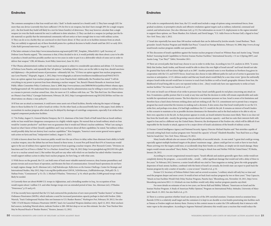The common assumption is that Iran would not risk a "dash" to fissile material (or a bomb) until: 1) They have enough LEU for more than one device (currently they have sufficient 3.5% for five to six weapons, but don't have enough 20% for a single weapon yet)—the first bomb they build will likely be a test for future bomb(s) of deterrence. They may however calculate that a single weapon (or even the fissile material for one) is sufficient to deter attackers. 2) They can dash to a weapon (or perhaps just the fissile material) so quickly that the international community will not notice or have enough time to react with military action. 3) They can do so in a facility they are convinced we don't know about. 4) They can do so in facilities immune from an attack. They are unlikely to approach any of these threshold points for a political decision to build a bomb until late 2013 or early 2014. Colin Kahl (personal interview), August 31, 2012.

8 The latter estimate is from http://www.isisnucleariran.org/assets/pdf/USIP\_Template\_5March2012-1.pdf. Secretary of Defense Leon Panetta argued, "The consensus is that, if they decided to do it, it would probably take them about a year to be able to produce a bomb and then possibly another one to two years in order to put it on a deliverable vehicle of some sort in order to deliver that weapon." CBS, 60 Minutes, Scott Pelley (interview), June 10, 2012.

9 The Obama administration's redline on Iran's nuclear program is subject to considerable speculation and debate. U.S. Secretary of Defense Leon Panetta, said repeatedly that "all options," including military force, are on the table to stop Iran, should sanctions and diplomacy—the preferred means of persuasion—ultimately fail. See, "US force an option against Iran nuclear programme, says Leon Panetta," *Telegraph*, August, 1, 2012, http://www.telegraph.co.uk/news/worldnews/middleeast/israel/9443278/USforce-an-option-against-Iran-nuclear-programme-says-Leon-Panetta.html. Additionally, the President has stated "I will do everything in my power to prevent Iran from obtaining a nuclear weapon." See, Barack Obama's Remarks at American Israel Public Affairs Committee Policy Conference, June 4, 2008, http://www.nytimes.com/2008/06/04/us/politics/04text-obama-aipac. html?pagewanted=all. We understand these statements to mean that his administration may be willing to resort to military force as a means to prevent a nuclear-armed Iran. Also, for more on U.S. redlines with Iran, see "The Thin Red Line: Six Observations on Obama's Iran Policy," Carnegie Endowment, February 28, 2012, http://carnegieendowment.org/2012/02/28/thin-red-line-sixobservations-on-obama-s-iran-policy#1.

10 If Iran saw an attack as imminent, it could move some assets out of fixed facilities, thereby reducing the impact of damage done to those facilities by U.S. and/or Israeli air strikes. On the other hand, as discussed briefly later in this paper, Iran's ability to reconstitute its nuclear program after attack may be delayed by shortages of centrifuge components, especially if air strikes have targeted component production facilities.

11 "On Friday, August 31, General Martin Dempsey, the U.S. chairman of the Joint Chiefs of Staff stated that an Israeli military strike on Iran would have dangerous consequences in a highly volatile region. He warned that an Israeli military attack on Iran would be 'counter-productive'" and there were no guarantees that it would end Tehran's nuclear ambitions. 'What I am saying is based on what I know of their [Israeli] capabilities and I may not know about all their capabilities,' he stated, 'but military strikes would possibly delay but not destroy Iran's nuclear capabilities.'" Kim Sengupta, "America's most senior general warns against rash action on Syria and Iran," *Independent* (online), August 31, 2012.

12 Little is known about how the American public would view the use of force to delay rather than eliminate Iran's ability to build a nuclear weapon, since the debate has not been framed in these terms. A recent Pew poll found that 63% of Americans would agree to the use of military force against Iran to prevent it from acquiring a nuclear weapon. (Pew Research Center, "Divisions on Sanctions and Use of Force a Global 'No' to a Nuclear-Armed Iran," May 18, 2012 (http://www.pewglobal.org/2012/05/18/a-global-no-to-a-nuclear-armed-iran/).) But neither this poll nor any other with which we are familiar has asked whether Americans would support military action to delay Iran's nuclear program, for how long, or with what costs.

13 With forces on the ground, the U.S. can hold some of Iran's most valuable material resources, deny Iranian paramilitary and proxies terrain and secure bases of operation, and threaten the lines of communication. Ground-based operations do not have to imply regime change. Jon B. Alterman (ed.), *Gulf Kaleidoscope: Reflections on the Iranian Challenge*, Center for Strategic and International Studies, May 2012, http://csis.org/files/publication/120518\_%20Alterman\_GulfKaleidoscope\_Web.pdf; Ch. 2, Nathan Freier, "Containment" p 31; Ch. 3, Michael O'Hanlon, "Deterrence," p 34, which specifies 25,000 ground troops would likely be needed.

14 Currently there are about 89,000 U.S. troops in Afghanistan, and a dwindling number in Iraq. An occupation of Iran would require about 1 million U.S. and other foreign troops over an extended period of time. See, Alterman (ed.), O'Hanlon "Deterrence," p 35 and p 45.

15 It has recently been reported that the U.S. had contracted the production of new more powerful "bunker-busters" or Massive Ordinance Penetrators (MOPs), which indicates a need for increased penetration capacity perhaps to deal with Fordow. (Joby Warrick, "Iran's Underground Nuclear Sites not Immune to U.S. Bunker-Busters," *Washington Post*, February 29, 2012.) See also "GBU-57A/B Massive Ordnance Penetrator (MOP)," Jane's Air Launched Weapons database entry, April 12, 2012. Most unclassified sources, including Warrick above, indicate Fordow is 200–300 feet deep so we use this estimate. See also "Iran Nuclear Sites May be Beyond Reach of 'Bunker Busters,'" Reuters, January 12, 2012.

16 In order to comprehensively deter Iran, the U.S. would need include a range of options using conventional forces, from gradual escalation, to preemptive attacks and offensive retaliation against targets such as military, industrial, command and control, and infrastructure. [See also Alterman (ed.), p 33.] For information on recent U.S. deployments to the region intended to support these options, see Thom Shanker, Eric Schmitt, and David Sanger, "U.S. Adds Forces in Persian Gulf, a Signal to Iran," *New York Times,* July 3, 2012.

17 Israel also reportedly has more than 100 nuclear warheads that can be delivered by Jericho missile. Lionel Beehner, "Backgrounder: Israel's Nuclear Program and Middle East Peace," Council on Foreign Relations, February 10, 2006, http://www.cfr.org/ israel/israels-nuclear-program-middle-east-peace/p9822.

18 This discussion of Israeli capabilities against the Iranian nuclear program is based on Whitney Raas and Austin Long, "Osirak Redux? Assessing Israeli Capabilities to Destroy Iranian Nuclear Facilities," International Security, v 31 no 4 (Spring 2007), and Austin Long, "Can They?" *Tablet,* November 2011.

19 There are several paths that Israel may choose to use in order to strike Iran. According to two U.S. analysts in 2010, "it seems likely that Jordan, Saudi Arabia, and Kuwait would be able to detect the over flight of Israeli aircraft" and Israel should not take for granted that Syria will not detect flight such as in 2007. Another potential route is over Kurdistan in Northern Iraq given its cooperation with the U.S. and NATO forces. Israel may also choose to take different paths for each set of sorties to guarantee less reaction or anticipation. A U.S. defense analyst said that any Israeli attack would likely be a one-time event: "given the unfriendly airspace Israeli strike aircraft would have to traverse to reach Iran's facilities as well as Israel's geographic distance from Iran, the likelihood of Israel being able to carry out repeated strikes is low…[they] would only have one opportunity to strike at Iran's nuclear facilities." For more see Zanotti et al., p 27.

20 A note on Israel's use of threats of air strike to pressure Iran: Israel carefully guards its real plans concerning any attack on Iran. It maintains a public posture that it is ready at any time and that the decision to strike will remain unpredictable and undetectable for operational security reasons. The first objective is to maximize pressure on Iran. Israel is aware of its limitations and therefore faces a hard choice between striking alone and not striking at all. The U.S. commitment not to permit Iran a weapons program has eased somewhat the tensions in making such a decision. It also seems clear that Israel would prefer to see the U.S. strike first, and perhaps even alone, if it had high confidence the U.S. would do the job. It remains an interest of Israel's leaders in this scenario to maintain as far as possible decision dominance for themselves and in the final analysis to be able to rely on their own capacities to do the job. As that posture appears to erode, an Israeli initiative becomes more likely. There is no clear red line from the Israeli side—merely the growing concern about Iran's nuclear capacity—and that too suits their interests both with regard to Iran and in a different way the United States. However, the development of the Fordow site, which will be difficult if not impossible for the Israelis to attack, appears to be a major driver of Israeli calculations of the benefit of military action.

21 Former Central Intelligence Agency and National Security Agency Director Michael Hayden said "that airstrikes capable of seriously setting back Iran's nuclear program were 'beyond the capacity' of Israel." Elizabeth Bumiller, "Iran Raid Seen as a Huge Task for Israeli Jets," *New York Times,* February 19, 2012.

Many Israelis officials also are unsure of the plausibility of successful attacks . As one noted: "a great deal could go wrong, especially against multiple hardened targets at the planes' maximum range…planes could get lost or crash or have to turn back. Planes arriving over the targets could miss, or accidentally drop their bombs on civilians, or simply not do much damage. Many targets would remain unscathed." Barry Rubin, "Israel Isn't Going to Attack Iran and Neither Will the United States," PJ Media, January 26, 2012.

According to a recent congressional research report, "Israeli officials and analysts generally agree that a strike would not completely destroy the program…a successful strike…would… inflict significant damage that would end with a delay of three to five years." In February 2012, however, a senior Israeli official was cited in Time magazine as stating "given the wide geographic dispersion of Iran's atomic facilities, combined with the limits of Israel's air armada, the Jewish state can expect to push back the Iranian program by only a matter of months—a year at most." Zanotti et al., p 32.

Former U.S. Secretary of Defense Robert Gates said on several occasions, "a military attack will only buy us time and send the program deeper and more covert. It would at best set back Iran's nuclear program by two or three years." Tony Capaccio, "Attack on Iran Facilities Would Only Delay Nuclear Program, Panetta Says," Bloomberg.com, November 10, 2011, http://www. bloomberg.com/news/2011-11-10/attack-on-iran-facilities-would-only-delay-nuclear-program-panetta-says.html.

For more details on estimates of one to two years, see Steven Kull and Shibley Telhami, "Americans on Israel and the Iranian Nuclear Program: A Study of American Public Opinion," Program on International Policy Attitudes, University of Maryland. March 13, 2012. See also Kahl et al., p 35.

22 There is a serious question whether Israel can destroy any of the 20% enriched uranium. Uranium stored as uranium hexafluoride (UF6) is a relatively small target and the containers it is kept in are durable so even bombs penetrating into facilities such as Natanz or Fordow might not destroy them. Destroy in this context means to scatter the UF6 sufficiently that it interacts with water vapor in the atmosphere. According to Argonne National Laboratory this would cause a reaction that would reduce the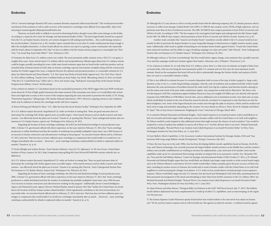### **Endnotes**

UF6 to "corrosive hydrogen fluoride (HF) and a uranium-fluoride compound called uranyl fluoride." This would prevent further enrichment of the uranium as well as make recovery of the material or centrifuges more difficult if not impossible., http://web. ead.anl.gov/uranium/guide/uf6/propertiesuf6/index.cfm.

However, an Israeli strike is unlikely to succeed in destroying Fordow, though it may inflict some damage on the facility. According to a report by the Center for Strategic and International Studies (CSIS), "The hard target bombs [Israel] has acquired from the U.S. are bunker-busters, however, not systems designed to kill underground facilities….they could damage entrances but not the facilities." (Zanotti et al., p 30.) Another report contends that it is not clear if a strike would penetrate deep enough to affect the stockpiles themselves. A senior Israeli official was cited in one report as quoting a senior commander who reportedly told the Israeli cabinet in September 2011 that "we have no ability to hit the Iranian nuclear program in a meaningful way." Karl Vick, "Can Israel Stop Iran's Nuke Effort?" *Time,* February 6, 2012

23 Estimates for delay from U.S. military action vary widely. The most pessimistic public estimate, from a 2012 U.S. war game, is roughly three years. Some retired senior U.S. military officers and nonproliferation officials argue delay from U.S. military attacks could be longer, possibly exceeding five years, while some Israeli estimates argue that an Israeli strike could also produce such an extended delay. Estimates based on IAEA data on Iranian centrifuge capacity and uranium stockpiles along with the construction timeline for Fordow suggest four years, a midpoint between the optimist and pessimist position, is a reasonable estimate for U.S. delay. See Mark Mazetti and Thom Shanker, "U.S. War Game Sees Perils of Israeli Strike Against Iran," *New York Times,* March 19, 2012; Jeffrey Goldberg, "Israelis Grow Confident Strike on Iran's Nukes Can Work," Bloomberg, March 19, 2012; Lee Smith, "Why the U.S. Could Bomb Iran," *Tablet,* July 11, 2012; and Austin Long, "Stall Speed: Assessing Delay of the Iranian Nuclear Program from Military Action," (forthcoming).

24 See citations in endnote 12. Calculations based on the unclassified parameters of the MOP suggest that each MOP would penetrate about 60–95 feet of high-quality limestone (the major mineral of the mountains near Qom) so it would likely take at least three and might take as many as five or more of the weapons impacting the same aim point to penetrate the facility. (C.W. Young, "Penetration Equations," Albuquerque, NM: Sandia National Laboratories, 1997). However, targeting entrances and ventilation shafts may be sufficient to destroy the centrifuges inside with fewer weapons.

25 Karen DeYoung and Michael D. Shear, "U.S., Allies Say Iran Has Secret Nuclear Facility," *Washington Post,* September 26, 2009.

26 A U.S. defense analyst discussed a hypothetical U.S. strike on Fordow in stating that: "there are good outcomes short of destroying' the centrifuge hall. Strikes against more accessible targets—from tunnel entrances and air shafts to power and water systems—can effectively knock the plant out of action." Zanotti et. al. quoting Joby Warrick, "Iran's underground nuclear sites not immune to U.S. bunker-busters, experts say," *Washington Post,* February 29, 2012.

Regarding the location of Iran's centrifuge workshops, the IAEA has had limited knowledge of such production since 2006. A former U.S. government official with direct experience on the issue stated on February 27, 2012, that "Iran's centrifuge production is widely distributed and that the number of workshops has probably multiplied 'many times' since 2005 because of an increase in Iranian contractors and subcontractors working on the program." An executive branch official said in a February 27, 2012, interview "that Iran does not have sufficient spare centrifuges or components that would enable it to install new centrifuges immediately after an attack… [however]…most centrifuge workshops could probably be rebuilt or replicated within six months." Zanotti et. al., p 34.

27 David Albright and Andrea Stricker, "Iran's Nuclear Setbacks: A key for U.S. diplomacy," in *The Iran Primer,* United States Institute of Peace, January 18, 2011, http://iranprimer.usip.org/blog/2011/jan/18/iran%E2%80%99s-nuclear-setbacks-key-usdiplomacy.

28 A U.S. defense analyst discussed a hypothetical U.S. strike on Fordow in stating that: "there are good outcomes short of destroying' the centrifuge hall. Strikes against more accessible targets—from tunnel entrances and air shafts to power and water systems—can effectively knock the plant out of action." Zanotti et al. quoting Joby Warrick, "Iran's Underground Nuclear Sites Not Immune to U.S. Bunker-Busters, Experts Say," *Washington Post,* February 29, 2012.

Regarding the location of Iran's centrifuge workshops, the IAEA has had limited knowledge of such production since 2006. A former U.S. government official with direct experience on the issue stated on February 27, 2012, that "Iran's centrifuge production is widely distributed and that the number of workshops has probably multiplied 'many times' since 2005 because of an increase in Iranian contractors and subcontractors working on the program." Additionally, former Central Intelligence Agency and National Security Agency Director Michael Hayden stated in January 2012 that "neither the United States nor Israel knows the location of all key Iranian nuclear-related facilities," which significantly contributes to the level of uncertainty of a successful strike. An executive branch official said in a February 27, 2012, interview "that Iran does not have sufficient spare centrifuges or components that would enable it to install new centrifuges immediately after an attack… [however]…most centrifuge workshops could probably be rebuilt or replicated within six months." Zanotti et al., p 34.

29 Although the U.S. may choose to sell or secretly provide Israel with the following weaponry, the U.S. already possesses what is necessary to inflict more damage: Guided Bomb Unit (GBU)-27 2000-lb class weapon carries 550 lbs of high explosives, and can penetrate more than six feet of reinforced concrete. The GBU-28 5000-lb class weapon penetrates at least 20 feet of concrete and 100 feet of earth. According to CSIS, "The key weapon to be used against hard targets and underground sites like Natanz might be the GBU-28, 5000-lb class weapon, which penetrates at least 20 feet of concrete and 100 feet of earth. Zanotti et al., p 29.

Another study concludes that "massive new bunker buster" munitions recently added to the U.S. arsenal would not necessarily be able to penetrate the deepest bunkers to cause irreparable damage to infrastructure or highly sensitive nuclear equipment. Additionally, while Israel is capable of launching its own bunker-buster bombs against Fordow, "it lacks the United States' more advanced munitions and the ability to wage a bombing campaign over days and weeks." Joby Warrick, "Iran's Underground Nuclear Sites not Immune to U.S. Bunker-busters," *Washington Post,* February 29, 2012.

30 Although evidence is "far from overwhelming" that this would bolster regime change, some maintain that a possible outcome of an airstrike campaign would turn Iranians against their leaders. Alterman, (ed.), O'Hanlon, "Deterrence," p 41.

31 See citations in endnote 16. As with delay from U.S. military action, there is a wide array of estimates on length of delay from an Israeli strike, with one year being the most pessimistic public U.S. estimate and over five years the most optimistic Israeli estimate. Based on the assumption that Israel will not be able to substantially damage the Fordow facility and analysis of IAEA data, two years is a reasonable estimate of delay.

32 This is very difficult to estimate because it is scenario dependent, both in terms of the type of strike (surgical vs. large-scale), duration (a day or two vs. a weeks-long bombing campaign), what the scale of retaliation and escalation look like (which would determine the scale and duration of hostilities beyond the strike itself), how big the coalition (and therefore burden-sharing) is, and the nature and extent of the post-strike containment regime. Any comparison would only be illustrative. The direct costs of enforcing post-Gulf War containment against Saddam Hussein in Iraq cost roughly \$19 billion per year directly with upward estimates from \$300 billion to \$700 billion. Several risks, such as additional costs in homeland security, were taken into account, which would likely be similar in the case of Iran but cannot be directly correlated. It is important to note that these are only the direct budgetary costs. Some of the largest financial costs would come through the spike in oil prices, which could be modest and short-term or large and extended, depending on the scenario. For more details see Steven J. Davis, Kevin M. Murphy and Robert H. Topel, "War in Iraq Versus Containment: Weighing the Costs," University of Chicago, March 2003.

33 As noted by Michael Eisenstadt and Michael Knights, "Iran's initial response to an Israeli preventive strike would likely be to lash out at Israeli and Jewish targets while seeking to avoid a broader conflict with the United States or its Gulf Arab neighbors. Yet Tehran would be sorely tempted to take additional actions that might increase the chances of such escalation." Iran would be tempted by a menu of options but unlikely to exercise all of them, or to "not bite off more than it can chew." Michael Eisenstadt and Michael Knights, "Beyond Worst-Case Analysis: Iran's Likely Responses to an Israeli Preventive Strike," in *Policy Notes,*  Washington Institute for Near East Policy, no. 11, June 2012.

34 *Iran's Ballistic Missile Capabilities: A Net Assessment,* London: International Institute for Strategic Studies, 2010; and "Iran Sanctions Halt Long-range Ballistic-missile Development," *Strategic Comments,* July 2012.

35 Since the Iran-Iraq war in the early 1980s, Iran has been developing ballistic missile capabilities based on Russian, North Korean, and Chinese technology. Iran currently possesses the largest ballistic missile inventory in the Middle East, and the country's military and scientific establishments are working to increase the sophistication, scale, and reach of its missiles. Iran's missile capabilities make up for its conventional shortcomings and play an integral role in its asymmetric warfare. See: Alexander Wilner, "Iran and the Gulf Military Balance," Center for Strategic and International Studies (CSIS) October 27, 2011, p 70. Michael Eisenstadt and Michael Knights argue that Iran would likely use Shahab-type longer range missiles to strike several Israeli targets such as the Defense Ministry in downtown Tel Aviv (which would inflict civilian casualties given the poor accuracy of these missiles), including its nuclear reactor in Dimona, but would seek to avoid a broader conflict with the United States or its Gulf Arab neighbors to avoid increasing the changes of escalation. A U.S. strike on Iran would almost certainly prompt a more expansive response. Tehran would likely target not only U.S. interests, but also Israel and Washington's Gulf Arab allies, punishing them for their presumed encouragement of the attack and attempting to deter them from further assistance to the U.S. military effort. See Michael Eisenstadt and Michael Knights "Beyond Worst-Case Analysis Iran's Likely Responses to an Israeli Preventive Strike," *Policy Notes,* Washington Institute for Near East Policy, No 11, June 2012.

36 Adam Pentous and Julian Barnes, "Pentagon Bulks Up Defenses in the Gulf," *Wall Street Journal,* July 17, 2012. This ballistic missile defense deployment has been complemented by a build up of other U.S. capabilities, such as minesweeping, in the region over the past year.

37 The Iranian Supreme Leader Khamenei openly declared that Iran would retaliate to the same level of an attack on Iranian soil: "We do not have atomic weapons and we will not build one. But against an attack by enemies—to defend ourselves against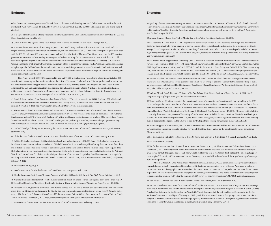**Endnotes**

either the U.S. or Zionist regime—we will attack them on the same level that they attack us." "Khamenei: Iran Will Strike Back if Attacked," CBS News, March 20, 2012, http://www.cbsnews.com/8301-202\_162-57400874/khamenei-iran-will-strike-back-ifattacked.

38 It is argued that Iran could attack petrochemical infrastructure in the Gulf, and attack commercial ships as well as the U.S. 5th Fleet, Eisenstadt and Knights. p 3.

39 Office of Naval Intelligence, "Iran's Naval Forces: From Guerilla Warfare to Modern Naval Strategy," Fall 2009.

40 For more details, see Eisenstadt and Knights, p 9–12. Iran would likely retaliate with terrorist attacks on Israeli and U.S . targets overseas, perhaps in conjunction with Hezbollah, conduct proxy attacks on U.S. personnel in Iraq and Afghanistan, clash with the U.S. Navy, kidnap U.S. government personnel, and close the Strait of Hormuz. To mitigate these costs the U.S. may take preventative measures, such as sending a message to Hizballah indicating that if it assists in an Iranian attack the U.S. could seek more vigorous implementation of the Proliferation Security Initiative and the arms embargo called for by U.N. Security Council Resolution 1701, effectively disrupting the group's efforts to resupply its weapons stocks. Washington may also consider redeploying to the Gulf of Oman the aircraft carrier that it currently keeps on station in the Persian Gulf and maintain as small naval fleet there. This would enable it to be less vulnerable to surprise and better positioned to wage an "outside-in" campaign to ensure free navigation in the Gulf.

Note: There are still 16,000 U.S. personnel in Iraq and 90,000 in Afghanistan, vulnerable to attack (Zanotti et al., p 45). Also, in order to manage and minimize the risk to the U.S., the U.S. could: 1) adjust clear red lines regarding nuclear use so that if it were crossed it would trigger massive retaliation; 2) bolster early-warning systems and integrate air and ballistic missile defenses of the U.S. and regional partners to defect and defend against terrorist attacks; 3) enhance diplomatic, intelligence, military, and economic efforts to disrupt Iranian covert operations ; and 4) help establish mechanisms for direct dialogue, crisis communication, and arms control among Israel, Iran, and the U.S., Kahl et al., p 31.

41 Israeli defense minister Ehud Barak stated on January 12, 2011, "There is no scenario for 50,000 dead, or 5,000 killed—and if everyone stays in their homes, maybe not even 500 dead." Jeffrey Heller, "Israel's Barak Plays Down Talk of War with Iran," Reuters, November 8, 2011, http://www.reuters.com/article/2011/11/08/us-iran-nuclearisrael.

42 This estimate is found in Hamed Aleaziz and Robin Mills, "Do We Even Need the Strait of Hormuz?" *The Atlantic,* January 13, 2012, http://www.theatlantic.com/international/archive/2012/01/do-we-even-need-the-strait-of-hormuz/251348/. Other estimates are as high as 35% of the world's "seaborn oil" which would cause a spike in crude oil by about \$39 a barrel. Brad Plumer, "Could the World Handle an Iranian Oil Crisis?" Washington Post, February 1, 2012 http://www.washingtonpost.com/blogs/ ezra-klein/post/how-the-world-would-deal-with-an-iranian-oil-crisis/2012/02/01/gIQAtuI8hQ\_blog.html.

43 Caitlin Talmadge, "Closing Time: Assessing the Iranian Threat to the Strait of Hormuz," *International Security,* vol 33 no 1 (Summer 2008).

44 Clifford Krauss, "Oil Price Would Skyrocket if Iran Closed the Strait of Hormuz," New York Times, January 4, 2012.

45 In 2006 Hezbollah fired nearly 4,000 rockets into Israel, and had an inventory of 30,000. Today Hezbollah has many more. Israeli and American sources have even claimed, "Hizbullah now has Scud missiles capable of hitting deep into Israel from deep inside Lebanon." It also has more surface-to-sea missiles, such as the one it used in 2006 to strike an Israeli Navy ship. In 2006, Hizbullah rained fire on Israel's northern cities, including Haifa; today it can do that and more, including targeting Tel Aviv and West Jerusalem, and Israel's only international airport. Because of this increased capability, Israel has considered preemptively attacking Hizbollah as well. (Bruce Reidel, "Israel's Dilemma: If It Attacks Iran, Will It Also Have to Hit Hizbullah?," *Daily Beast,* February 9, 2012.

46 Eisenstadt and Knights, p 4.

47 Jonathan Levinson, "A Third Lebanon War," *Small Wars and Insurgencies,* vol 23, no 2.

48 Charlie Savage and Scott Shane, "Iranians Accused of a Plot to Kill Saudis' U.S. Envoy," *New York Times*, October 11, 2012.

49 Nicholas Kulish and Eric Schmitt, "Hezbollah Is Blamed for Attack on Israeli Tourists in Bulgaria," New York Times, July 19, 2012; and Joel Greenberg, "Israel Says Thai Bombs Similar to Those in India, Georgia," *Washington Post,* February 15, 2012.

50 In December 2011, Secretary of Defense Leon Panetta warned that "We would have an escalation that would not only involve many lives, but I think it would consume the Middle East in a confrontation and conflict that we would regret." Remarks by Secretary of Defense Leon E. Panetta, Saban Center, U.S. Department of Defense Office of the Assistant Secretary of Defense Public Affairs Transcript, December 2, 2011, http://www.defense.gov/transcripts/transcript.aspx?transcriptid=4937.

51 Anne Gearan, "Western Nations Ask Israel to Not Attack Iran," *Associated Press,* February 2, 2012.

52 Speaking of the current sanctions regime, General Martin Dempsey, the U.S. chairman of the Joint Chiefs of Staff, observed, "There are now economic sanctions in place which are being effective, the international community may achieve its aims without military action." See, Kim Sengupta, "America's most senior general warns against rash action on Syria and Iran," *The Independent* (online), August 31, 2012.

53 Andrew Kramer, "Russia Ends Talk of Missile Sale to Iran," *New York Times,* September 22, 2010.

54 See February 2012 and May 2012 IAEA reports cited earlier for discussion of Iran's advanced centrifuges and its difficulties deploying them effectively. For an example of current Iranian efforts to avoid sanctions to procure these materials, see Charlie Savage, "U.S. Charges Men in Plot to Violate Iran Embargo," *New York Times,* July 13, 2012. These allegedly include "20 tons of high-strength maraging steel, 40 tons of aluminum alloy rods, radioactive materials, mass spectrometers, measuring instruments and vacuum system equipment."

55 See Målfrid Braut-Hegghammer, "Revisiting Osirak: Preventive Attacks and Nuclear Proliferation Risks," *International Security,* vol 36, no 1 (Summer 2011), p 101–132; Bennett Ramberg, "Osirak and Its Lessons for Iran Policy," Arms Control Today, May 2012, http://www.armscontrol.org/act/2012\_05/Osirak\_and\_Its\_Lessons\_for\_Iran\_Policy; and Colin H. Kahl, "Before Attacking Iran, Israel Should Learn from its 1981 Strike on Iraq," *Washington Post,* March 2, 2012, http://www.washingtonpost.com/opinions/an-israeli-attack-against-iran-would-backfire--just-like-israels-1981-strike-on-iraq/2012/02/28/gIQATOMFnR\_story.html.

56 Michael Hayden, CIA Director in the Bush administration stated, "When we talked about this in the government, the consensus was that [attacking Iran] would guarantee that which we are trying to prevent—an Iran that will spare nothing to build a nuclear weapon and that would build it in secret." Josh Rogin, "Bush's CIA director: We determined attacking Iran was a bad idea," The Cable, *Foreign Policy,* January 19, 2012.

57 Mohsen Milani, "Iran's Ties to the Taliban, in *The Iran Primer,* United States Institute of Peace, August 10, 2011. http:// iranprimer.usip.org/blog/2011/aug/10/iran%E2%80%99s-ties-taliban.

58 Economist James Hamilton projected the impact on oil prices of a potential confrontation with Iran by looking at the 1973 OPEC embargo, the Iranian Revolution of 1978, the 1980 Iran-Iraq War, and the 1990 Persian Gulf War. Hamilton found that at peak "these events took out 4-7 percent of net world productions and were associated with oil price increases of 25-70 percent." (James Hamilton, "Possible Implications of the Iranian Oil Embargo," *EconBrowser,* January 15, 2012.) This does not include the potentially disastrous consequences of the closing of the Strait of Hormuz. While Iran accounts for 4.3% of the world's oil production, the Strait of Hormuz passes over 17%, any affects to this passageway would be significantly higher. This would not only cause a direct cost to oil prices in the U.S. but to our key trade partners, causing perhaps even higher indirect costs.

59 Without support of other nations, the U.S. would have weak recourse to international law and public opinion. All of the recent U.N. resolutions on Iran for example, stipulate very clearly that they do not authorize the use of force to ensure compliance. Alterman (ed.), p 41.

60 See discussion in Robert Pape, *Bombing to Win: Air Power and Coercion in War,* Ithaca, NY: Cornell University Press, 1996.

### 61 See discussion in Goldberg.

62 For further reference on both sides of this discussion, see Zanotti et al., p 35. Also, Secretary of Defense Leon Panetta, at a December 2, 2011, Brookings event, stated that one of the unintended consequences of a military strike on Iran's nuclear program would be that "the regime that is weak now…would suddenly be able to reestablish itself, suddenly be able to get support in the region." Transcript of Panetta's remarks at the Brookings event available at http://www.defense.gov/transcripts/transcript. aspx?transcriptid=4937.

Also, in October 2011, the Public Affairs Alliance of Iranian Americans (PAAIA) commissioned Zogby Research Services (formally known as Zogby International) to conduct its third national public opinion survey of Iranian Americans to gather accurate attitudinal and demographic information about the Iranian American community. This poll found that more than six in ten respondents felt that military strikes would strengthen the Iranian government (63%) and would be ineffective and encourage Iran to develop nuclear weapons (62%). For the complete PAAIA survey see http://www.paaia.org/CMS/2012-national-survey.aspx.

63 Ray Takeyh, "The Iran-Iraq War: A Reassessment," *Middle East Journal,* vol 64 no 3 (Summer 2010).

64 For more details see Jason Starr, "The UN Resolutions" in *The Iran Primer,* U.S. Institute of Peace, http://iranprimer.usip.org/ resource/un-resolutions. The current unclassified U.S. intelligence community view of the program is available in James Clapper, "Unclassified Statement for the Record on the Worldwide Threat Assessment of the U.S. Intelligence Community for the Senate Select Committee on Intelligence," January 31, 2012, p 4–5. The International Atomic Energy Agency's current view of the program is available in International Atomic Energy Agency, "Implementation of the NPT Safeguards Agreement and Relevant Provisions of Security Council Resolutions in the Islamic Republic of Iran," February 24, 2012.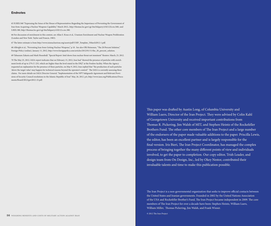65 H.RES.568 "Expressing the Sense of the House of Representatives Regarding the Importance of Preventing the Government of Iran from Acquiring a Nuclear Weapons Capability," March 2012:, http://thomas.loc.gov/cgi-bin/bdquery/z?d112:h.res.568:; and S.RES.380, http://thomas.loc.gov/cgi-bin/bdquery/z?d112:s.res.380.

66 For discussion of enrichment in this context, see Allan S. Krass et al., Uranium Enrichment and Nuclear Weapon Proliferation (London and New York: Taylor and Francis, 1983).

67 The latter estimate is from http://www.isisnucleariran.org/assets/pdf/USIP\_Template\_5March2012-1.pdf.

68 Albright et al., "Preventing Iran from Getting Nuclear Weapons," p 10. See also Olli Heinonen, "The 20 Percent Solution," Foreign Policy (online), January 11, 2012, http://www.foreignpolicy.com/articles/2012/01/11/the\_20\_percent\_solution.

69 Tabassum Zakaria and Mark Hosenball. "Special Report: Intel shows Iran nuclear threat not imminent" Reuters: March, 23, 2012.

70 The May 25, 2012, IAEA report indicates that on February 15, 2012, Iran had "showed the presence of particles with enrichment levels of up to 27% U-235, which are higher than the level stated in the DIQ" at the Fordow facility. When the Agency requested an explanation for the presence of these particles, on May 9, 2012, Iran replied that "the production of such particles 'above the target value' may happen for technical reasons beyond the operator's control." The IAEA is currently assessing these claims. For more details see IAEA Director General, "Implementation of the NPT Safeguards Agreement and Relevant Provisions of Security Council resolutions in the Islamic Republic of Iran" May, 26, 2012. p.6, http://www.iaea.org/Publications/Documents/Board/2012/gov2012-23.pdf.

> This paper was drafted by Austin Long, of Columbia University and William Luers, Director of the Iran Project. They were advised by Colin Kahl of Georgetown University and received important contributions from Thomas R. Pickering, Jim Walsh of MIT, and Stephen Heintz of the Rockefeller Brothers Fund. The other core members of The Iran Project and a large number of the endorsers of the paper made valuable additions to the paper. Priscilla Lewis, the editor, has been an excellent partner and is largely responsible for the final version. Iris Bieri, The Iran Project Coordinator, has managed the complex process of bringing together the many different points of view and individuals involved, to get the paper to completion. Our copy editor, Trish Leader, and design team from On Design, Inc., led by Okey Nestor, contributed their invaluable talents and time to make this publication possible.

> The Iran Project is a non-governmental organization that seeks to improve official contacts between the United States and Iranian governments. Founded in 2002 by the United Nations Association of the USA and Rockefeller Brother's Fund, The Iran Project became independent in 2009. The core members of The Iran Project for over a decade have been: Stephen Heintz, William Luers, William Miller, Thomas Pickering, Jim Walsh, and Frank Wisner.

© 2012 The Iran Project